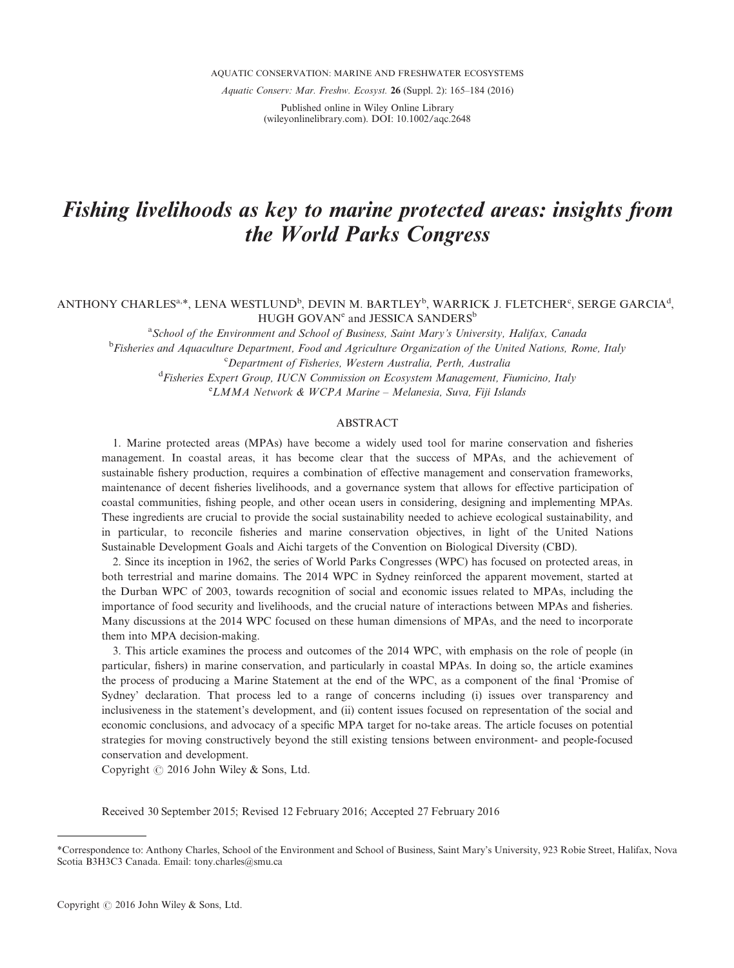AQUATIC CONSERVATION: MARINE AND FRESHWATER ECOSYSTEMS

Aquatic Conserv: Mar. Freshw. Ecosyst. 26 (Suppl. 2): 165–184 (2016)

Published online in Wiley Online Library (wileyonlinelibrary.com). DOI: 10.1002/aqc.2648

# Fishing livelihoods as key to marine protected areas: insights from the World Parks Congress

# ANTHONY CHARLES<sup>a,\*</sup>, LENA WESTLUND<sup>b</sup>, DEVIN M. BARTLEY<sup>b</sup>, WARRICK J. FLETCHER<sup>c</sup>, SERGE GARCIA<sup>d</sup>, HUGH GOVAN<sup>e</sup> and JESSICA SANDERS<sup>b</sup>

<sup>a</sup> School of the Environment and School of Business, Saint Mary's University, Halifax, Canada <sup>b</sup>Fisheries and Aquaculture Department, Food and Agriculture Organization of the United Nations, Rome, Italy c Department of Fisheries, Western Australia, Perth, Australia <sup>d</sup> Fisheries Expert Group, IUCN Commission on Ecosystem Management, Fiumicino, Italy e LMMA Network & WCPA Marine – Melanesia, Suva, Fiji Islands

### ABSTRACT

1. Marine protected areas (MPAs) have become a widely used tool for marine conservation and fisheries management. In coastal areas, it has become clear that the success of MPAs, and the achievement of sustainable fishery production, requires a combination of effective management and conservation frameworks, maintenance of decent fisheries livelihoods, and a governance system that allows for effective participation of coastal communities, fishing people, and other ocean users in considering, designing and implementing MPAs. These ingredients are crucial to provide the social sustainability needed to achieve ecological sustainability, and in particular, to reconcile fisheries and marine conservation objectives, in light of the United Nations Sustainable Development Goals and Aichi targets of the Convention on Biological Diversity (CBD).

2. Since its inception in 1962, the series of World Parks Congresses (WPC) has focused on protected areas, in both terrestrial and marine domains. The 2014 WPC in Sydney reinforced the apparent movement, started at the Durban WPC of 2003, towards recognition of social and economic issues related to MPAs, including the importance of food security and livelihoods, and the crucial nature of interactions between MPAs and fisheries. Many discussions at the 2014 WPC focused on these human dimensions of MPAs, and the need to incorporate them into MPA decision-making.

3. This article examines the process and outcomes of the 2014 WPC, with emphasis on the role of people (in particular, fishers) in marine conservation, and particularly in coastal MPAs. In doing so, the article examines the process of producing a Marine Statement at the end of the WPC, as a component of the final 'Promise of Sydney' declaration. That process led to a range of concerns including (i) issues over transparency and inclusiveness in the statement's development, and (ii) content issues focused on representation of the social and economic conclusions, and advocacy of a specific MPA target for no-take areas. The article focuses on potential strategies for moving constructively beyond the still existing tensions between environment- and people-focused conservation and development.

Copyright  $@$  2016 John Wiley & Sons, Ltd.

Received 30 September 2015; Revised 12 February 2016; Accepted 27 February 2016

<sup>\*</sup>Correspondence to: Anthony Charles, School of the Environment and School of Business, Saint Mary's University, 923 Robie Street, Halifax, Nova Scotia B3H3C3 Canada. Email: tony.charles@smu.ca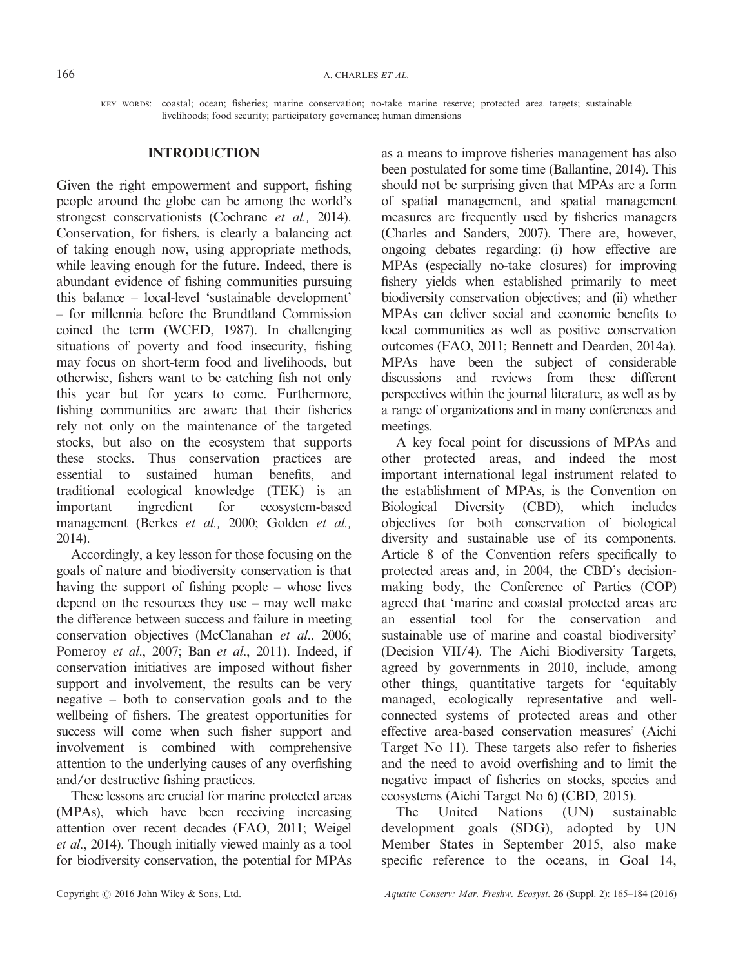KEY WORDS: coastal; ocean; fisheries; marine conservation; no-take marine reserve; protected area targets; sustainable livelihoods; food security; participatory governance; human dimensions

# INTRODUCTION

Given the right empowerment and support, fishing people around the globe can be among the world's strongest conservationists (Cochrane et al., 2014). Conservation, for fishers, is clearly a balancing act of taking enough now, using appropriate methods, while leaving enough for the future. Indeed, there is abundant evidence of fishing communities pursuing this balance – local-level 'sustainable development' – for millennia before the Brundtland Commission coined the term (WCED, 1987). In challenging situations of poverty and food insecurity, fishing may focus on short-term food and livelihoods, but otherwise, fishers want to be catching fish not only this year but for years to come. Furthermore, fishing communities are aware that their fisheries rely not only on the maintenance of the targeted stocks, but also on the ecosystem that supports these stocks. Thus conservation practices are essential to sustained human benefits, and traditional ecological knowledge (TEK) is an important ingredient for ecosystem-based management (Berkes et al., 2000; Golden et al., 2014).

Accordingly, a key lesson for those focusing on the goals of nature and biodiversity conservation is that having the support of fishing people – whose lives depend on the resources they use – may well make the difference between success and failure in meeting conservation objectives (McClanahan et al., 2006; Pomeroy et al., 2007; Ban et al., 2011). Indeed, if conservation initiatives are imposed without fisher support and involvement, the results can be very negative – both to conservation goals and to the wellbeing of fishers. The greatest opportunities for success will come when such fisher support and involvement is combined with comprehensive attention to the underlying causes of any overfishing and/or destructive fishing practices.

These lessons are crucial for marine protected areas (MPAs), which have been receiving increasing attention over recent decades (FAO, 2011; Weigel et al., 2014). Though initially viewed mainly as a tool for biodiversity conservation, the potential for MPAs

as a means to improve fisheries management has also been postulated for some time (Ballantine, 2014). This should not be surprising given that MPAs are a form of spatial management, and spatial management measures are frequently used by fisheries managers (Charles and Sanders, 2007). There are, however, ongoing debates regarding: (i) how effective are MPAs (especially no-take closures) for improving fishery yields when established primarily to meet biodiversity conservation objectives; and (ii) whether MPAs can deliver social and economic benefits to local communities as well as positive conservation outcomes (FAO, 2011; Bennett and Dearden, 2014a). MPAs have been the subject of considerable discussions and reviews from these different perspectives within the journal literature, as well as by a range of organizations and in many conferences and meetings.

A key focal point for discussions of MPAs and other protected areas, and indeed the most important international legal instrument related to the establishment of MPAs, is the Convention on Biological Diversity (CBD), which includes objectives for both conservation of biological diversity and sustainable use of its components. Article 8 of the Convention refers specifically to protected areas and, in 2004, the CBD's decisionmaking body, the Conference of Parties (COP) agreed that 'marine and coastal protected areas are an essential tool for the conservation and sustainable use of marine and coastal biodiversity' (Decision VII/4). The Aichi Biodiversity Targets, agreed by governments in 2010, include, among other things, quantitative targets for 'equitably managed, ecologically representative and wellconnected systems of protected areas and other effective area-based conservation measures' (Aichi Target No 11). These targets also refer to fisheries and the need to avoid overfishing and to limit the negative impact of fisheries on stocks, species and ecosystems (Aichi Target No 6) (CBD, 2015).

The United Nations (UN) sustainable development goals (SDG), adopted by UN Member States in September 2015, also make specific reference to the oceans, in Goal 14,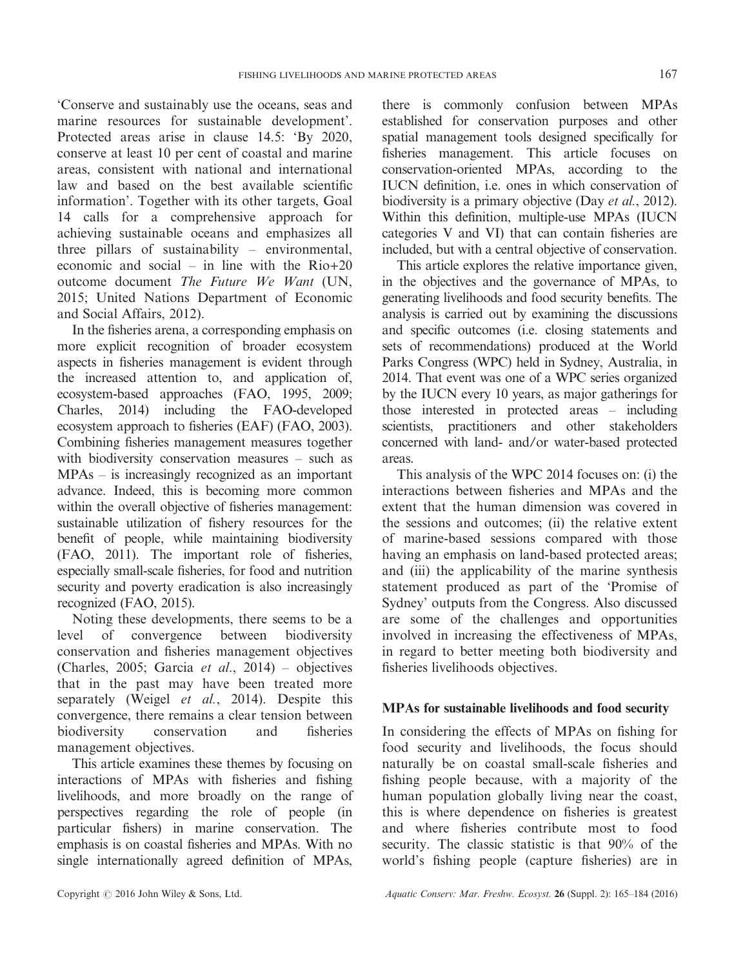'Conserve and sustainably use the oceans, seas and marine resources for sustainable development'. Protected areas arise in clause 14.5: 'By 2020, conserve at least 10 per cent of coastal and marine areas, consistent with national and international law and based on the best available scientific information'. Together with its other targets, Goal 14 calls for a comprehensive approach for achieving sustainable oceans and emphasizes all three pillars of sustainability – environmental, economic and social – in line with the  $Rio+20$ outcome document The Future We Want (UN, 2015; United Nations Department of Economic and Social Affairs, 2012).

In the fisheries arena, a corresponding emphasis on more explicit recognition of broader ecosystem aspects in fisheries management is evident through the increased attention to, and application of, ecosystem-based approaches (FAO, 1995, 2009; Charles, 2014) including the FAO-developed ecosystem approach to fisheries (EAF) (FAO, 2003). Combining fisheries management measures together with biodiversity conservation measures – such as MPAs – is increasingly recognized as an important advance. Indeed, this is becoming more common within the overall objective of fisheries management: sustainable utilization of fishery resources for the benefit of people, while maintaining biodiversity (FAO, 2011). The important role of fisheries, especially small-scale fisheries, for food and nutrition security and poverty eradication is also increasingly recognized (FAO, 2015).

Noting these developments, there seems to be a level of convergence between biodiversity conservation and fisheries management objectives (Charles, 2005; Garcia et al., 2014) – objectives that in the past may have been treated more separately (Weigel et al., 2014). Despite this convergence, there remains a clear tension between biodiversity conservation and fisheries management objectives.

This article examines these themes by focusing on interactions of MPAs with fisheries and fishing livelihoods, and more broadly on the range of perspectives regarding the role of people (in particular fishers) in marine conservation. The emphasis is on coastal fisheries and MPAs. With no single internationally agreed definition of MPAs, there is commonly confusion between MPAs established for conservation purposes and other spatial management tools designed specifically for fisheries management. This article focuses on conservation-oriented MPAs, according to the IUCN definition, i.e. ones in which conservation of biodiversity is a primary objective (Day et al., 2012). Within this definition, multiple-use MPAs (IUCN categories V and VI) that can contain fisheries are included, but with a central objective of conservation.

This article explores the relative importance given, in the objectives and the governance of MPAs, to generating livelihoods and food security benefits. The analysis is carried out by examining the discussions and specific outcomes (i.e. closing statements and sets of recommendations) produced at the World Parks Congress (WPC) held in Sydney, Australia, in 2014. That event was one of a WPC series organized by the IUCN every 10 years, as major gatherings for those interested in protected areas – including scientists, practitioners and other stakeholders concerned with land- and/or water-based protected areas.

This analysis of the WPC 2014 focuses on: (i) the interactions between fisheries and MPAs and the extent that the human dimension was covered in the sessions and outcomes; (ii) the relative extent of marine-based sessions compared with those having an emphasis on land-based protected areas; and (iii) the applicability of the marine synthesis statement produced as part of the 'Promise of Sydney' outputs from the Congress. Also discussed are some of the challenges and opportunities involved in increasing the effectiveness of MPAs, in regard to better meeting both biodiversity and fisheries livelihoods objectives.

# MPAs for sustainable livelihoods and food security

In considering the effects of MPAs on fishing for food security and livelihoods, the focus should naturally be on coastal small-scale fisheries and fishing people because, with a majority of the human population globally living near the coast, this is where dependence on fisheries is greatest and where fisheries contribute most to food security. The classic statistic is that 90% of the world's fishing people (capture fisheries) are in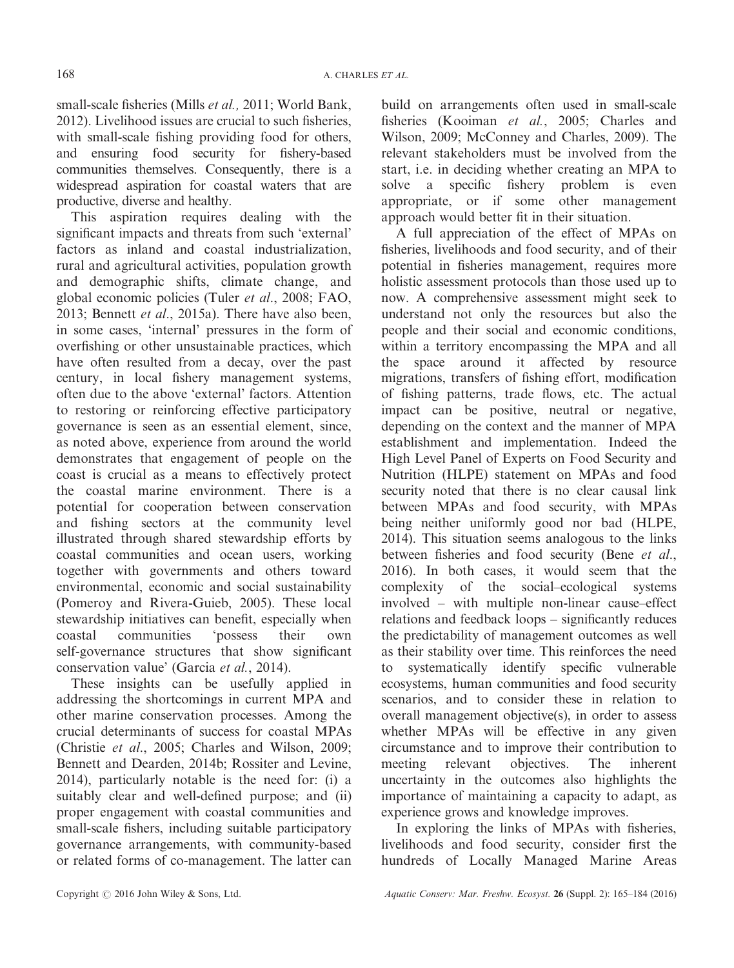small-scale fisheries (Mills *et al.*, 2011; World Bank, 2012). Livelihood issues are crucial to such fisheries, with small-scale fishing providing food for others, and ensuring food security for fishery-based communities themselves. Consequently, there is a widespread aspiration for coastal waters that are productive, diverse and healthy.

This aspiration requires dealing with the significant impacts and threats from such 'external' factors as inland and coastal industrialization, rural and agricultural activities, population growth and demographic shifts, climate change, and global economic policies (Tuler et al., 2008; FAO, 2013; Bennett et al., 2015a). There have also been, in some cases, 'internal' pressures in the form of overfishing or other unsustainable practices, which have often resulted from a decay, over the past century, in local fishery management systems, often due to the above 'external' factors. Attention to restoring or reinforcing effective participatory governance is seen as an essential element, since, as noted above, experience from around the world demonstrates that engagement of people on the coast is crucial as a means to effectively protect the coastal marine environment. There is a potential for cooperation between conservation and fishing sectors at the community level illustrated through shared stewardship efforts by coastal communities and ocean users, working together with governments and others toward environmental, economic and social sustainability (Pomeroy and Rivera-Guieb, 2005). These local stewardship initiatives can benefit, especially when coastal communities 'possess their own self-governance structures that show significant conservation value' (Garcia et al., 2014).

These insights can be usefully applied in addressing the shortcomings in current MPA and other marine conservation processes. Among the crucial determinants of success for coastal MPAs (Christie et al., 2005; Charles and Wilson, 2009; Bennett and Dearden, 2014b; Rossiter and Levine, 2014), particularly notable is the need for: (i) a suitably clear and well-defined purpose; and (ii) proper engagement with coastal communities and small-scale fishers, including suitable participatory governance arrangements, with community-based or related forms of co-management. The latter can

build on arrangements often used in small-scale fisheries (Kooiman et al., 2005; Charles and Wilson, 2009; McConney and Charles, 2009). The relevant stakeholders must be involved from the start, i.e. in deciding whether creating an MPA to solve a specific fishery problem is even appropriate, or if some other management approach would better fit in their situation.

A full appreciation of the effect of MPAs on fisheries, livelihoods and food security, and of their potential in fisheries management, requires more holistic assessment protocols than those used up to now. A comprehensive assessment might seek to understand not only the resources but also the people and their social and economic conditions, within a territory encompassing the MPA and all the space around it affected by resource migrations, transfers of fishing effort, modification of fishing patterns, trade flows, etc. The actual impact can be positive, neutral or negative, depending on the context and the manner of MPA establishment and implementation. Indeed the High Level Panel of Experts on Food Security and Nutrition (HLPE) statement on MPAs and food security noted that there is no clear causal link between MPAs and food security, with MPAs being neither uniformly good nor bad (HLPE, 2014). This situation seems analogous to the links between fisheries and food security (Bene et al., 2016). In both cases, it would seem that the complexity of the social–ecological systems involved – with multiple non-linear cause–effect relations and feedback loops – significantly reduces the predictability of management outcomes as well as their stability over time. This reinforces the need to systematically identify specific vulnerable ecosystems, human communities and food security scenarios, and to consider these in relation to overall management objective(s), in order to assess whether MPAs will be effective in any given circumstance and to improve their contribution to meeting relevant objectives. The inherent uncertainty in the outcomes also highlights the importance of maintaining a capacity to adapt, as experience grows and knowledge improves.

In exploring the links of MPAs with fisheries, livelihoods and food security, consider first the hundreds of Locally Managed Marine Areas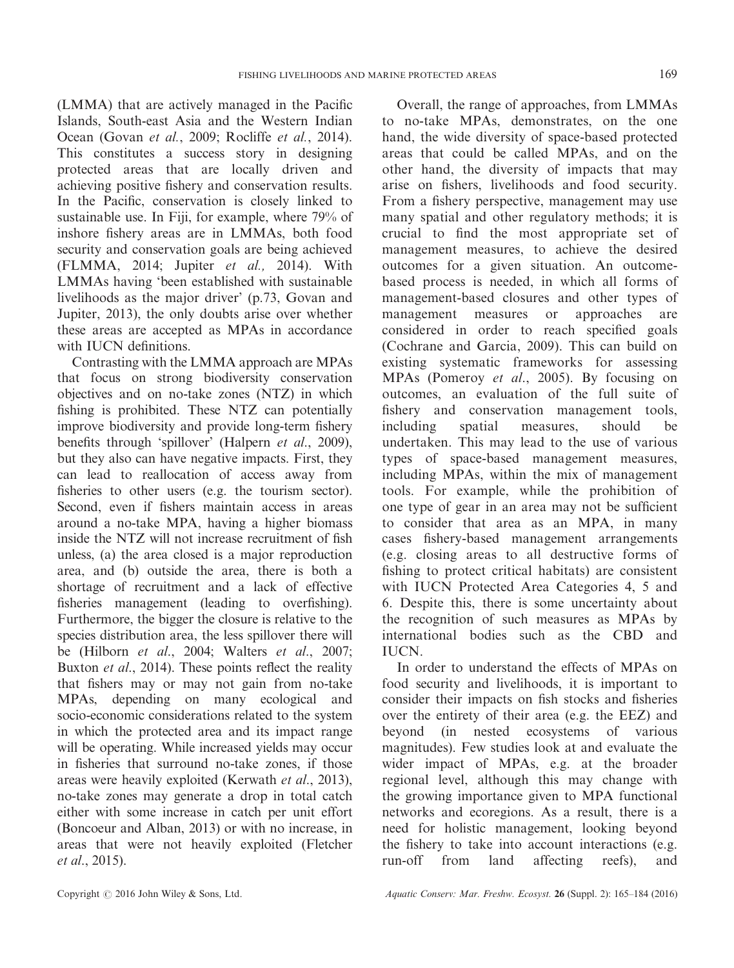(LMMA) that are actively managed in the Pacific Islands, South-east Asia and the Western Indian Ocean (Govan et al., 2009; Rocliffe et al., 2014). This constitutes a success story in designing protected areas that are locally driven and achieving positive fishery and conservation results. In the Pacific, conservation is closely linked to sustainable use. In Fiji, for example, where 79% of inshore fishery areas are in LMMAs, both food security and conservation goals are being achieved (FLMMA, 2014; Jupiter et al., 2014). With LMMAs having 'been established with sustainable livelihoods as the major driver' (p.73, Govan and Jupiter, 2013), the only doubts arise over whether these areas are accepted as MPAs in accordance with IUCN definitions.

Contrasting with the LMMA approach are MPAs that focus on strong biodiversity conservation objectives and on no-take zones (NTZ) in which fishing is prohibited. These NTZ can potentially improve biodiversity and provide long-term fishery benefits through 'spillover' (Halpern et al., 2009), but they also can have negative impacts. First, they can lead to reallocation of access away from fisheries to other users (e.g. the tourism sector). Second, even if fishers maintain access in areas around a no-take MPA, having a higher biomass inside the NTZ will not increase recruitment of fish unless, (a) the area closed is a major reproduction area, and (b) outside the area, there is both a shortage of recruitment and a lack of effective fisheries management (leading to overfishing). Furthermore, the bigger the closure is relative to the species distribution area, the less spillover there will be (Hilborn et al., 2004; Walters et al., 2007; Buxton *et al.*, 2014). These points reflect the reality that fishers may or may not gain from no-take MPAs, depending on many ecological and socio-economic considerations related to the system in which the protected area and its impact range will be operating. While increased yields may occur in fisheries that surround no-take zones, if those areas were heavily exploited (Kerwath et al., 2013), no-take zones may generate a drop in total catch either with some increase in catch per unit effort (Boncoeur and Alban, 2013) or with no increase, in areas that were not heavily exploited (Fletcher et al., 2015).

Overall, the range of approaches, from LMMAs to no-take MPAs, demonstrates, on the one hand, the wide diversity of space-based protected areas that could be called MPAs, and on the other hand, the diversity of impacts that may arise on fishers, livelihoods and food security. From a fishery perspective, management may use many spatial and other regulatory methods; it is crucial to find the most appropriate set of management measures, to achieve the desired outcomes for a given situation. An outcomebased process is needed, in which all forms of management-based closures and other types of management measures or approaches are considered in order to reach specified goals (Cochrane and Garcia, 2009). This can build on existing systematic frameworks for assessing MPAs (Pomeroy et al., 2005). By focusing on outcomes, an evaluation of the full suite of fishery and conservation management tools, including spatial measures, should be undertaken. This may lead to the use of various types of space-based management measures, including MPAs, within the mix of management tools. For example, while the prohibition of one type of gear in an area may not be sufficient to consider that area as an MPA, in many cases fishery-based management arrangements (e.g. closing areas to all destructive forms of fishing to protect critical habitats) are consistent with IUCN Protected Area Categories 4, 5 and 6. Despite this, there is some uncertainty about the recognition of such measures as MPAs by international bodies such as the CBD and **IUCN** 

In order to understand the effects of MPAs on food security and livelihoods, it is important to consider their impacts on fish stocks and fisheries over the entirety of their area (e.g. the EEZ) and beyond (in nested ecosystems of various magnitudes). Few studies look at and evaluate the wider impact of MPAs, e.g. at the broader regional level, although this may change with the growing importance given to MPA functional networks and ecoregions. As a result, there is a need for holistic management, looking beyond the fishery to take into account interactions (e.g. run-off from land affecting reefs), and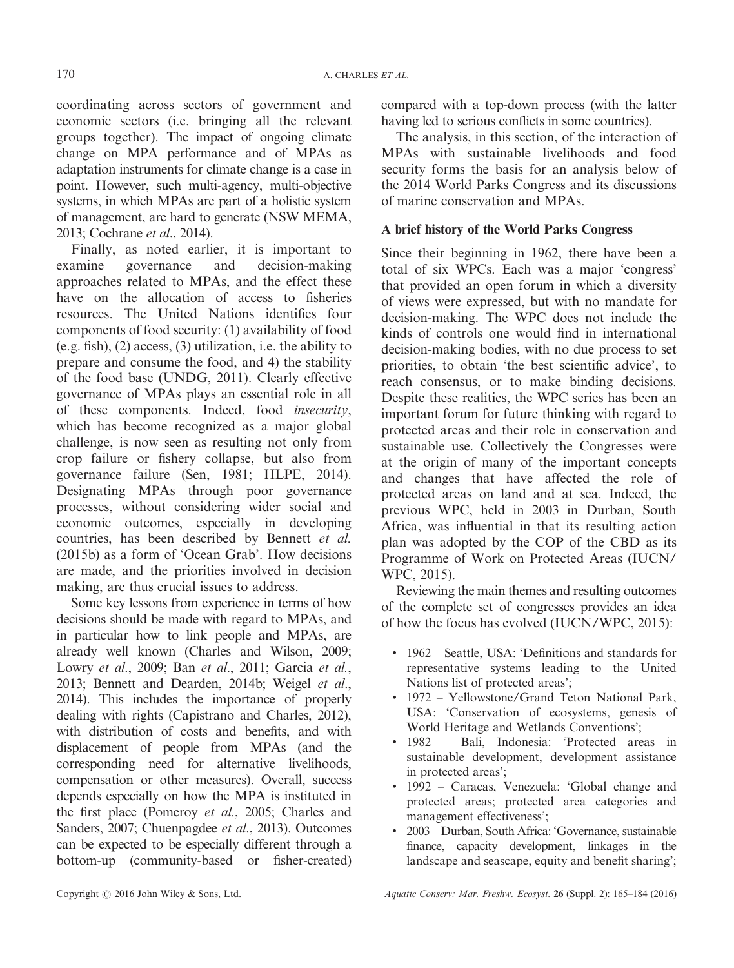coordinating across sectors of government and economic sectors (i.e. bringing all the relevant groups together). The impact of ongoing climate change on MPA performance and of MPAs as adaptation instruments for climate change is a case in point. However, such multi-agency, multi-objective systems, in which MPAs are part of a holistic system of management, are hard to generate (NSW MEMA, 2013; Cochrane et al., 2014).

Finally, as noted earlier, it is important to examine governance and decision-making approaches related to MPAs, and the effect these have on the allocation of access to fisheries resources. The United Nations identifies four components of food security: (1) availability of food (e.g. fish), (2) access, (3) utilization, i.e. the ability to prepare and consume the food, and 4) the stability of the food base (UNDG, 2011). Clearly effective governance of MPAs plays an essential role in all of these components. Indeed, food insecurity, which has become recognized as a major global challenge, is now seen as resulting not only from crop failure or fishery collapse, but also from governance failure (Sen, 1981; HLPE, 2014). Designating MPAs through poor governance processes, without considering wider social and economic outcomes, especially in developing countries, has been described by Bennett et al. (2015b) as a form of 'Ocean Grab'. How decisions are made, and the priorities involved in decision making, are thus crucial issues to address.

Some key lessons from experience in terms of how decisions should be made with regard to MPAs, and in particular how to link people and MPAs, are already well known (Charles and Wilson, 2009; Lowry et al., 2009; Ban et al., 2011; Garcia et al., 2013; Bennett and Dearden, 2014b; Weigel et al., 2014). This includes the importance of properly dealing with rights (Capistrano and Charles, 2012), with distribution of costs and benefits, and with displacement of people from MPAs (and the corresponding need for alternative livelihoods, compensation or other measures). Overall, success depends especially on how the MPA is instituted in the first place (Pomeroy et al., 2005; Charles and Sanders, 2007; Chuenpagdee et al., 2013). Outcomes can be expected to be especially different through a bottom-up (community-based or fisher-created)

compared with a top-down process (with the latter having led to serious conflicts in some countries).

The analysis, in this section, of the interaction of MPAs with sustainable livelihoods and food security forms the basis for an analysis below of the 2014 World Parks Congress and its discussions of marine conservation and MPAs.

# A brief history of the World Parks Congress

Since their beginning in 1962, there have been a total of six WPCs. Each was a major 'congress' that provided an open forum in which a diversity of views were expressed, but with no mandate for decision-making. The WPC does not include the kinds of controls one would find in international decision-making bodies, with no due process to set priorities, to obtain 'the best scientific advice', to reach consensus, or to make binding decisions. Despite these realities, the WPC series has been an important forum for future thinking with regard to protected areas and their role in conservation and sustainable use. Collectively the Congresses were at the origin of many of the important concepts and changes that have affected the role of protected areas on land and at sea. Indeed, the previous WPC, held in 2003 in Durban, South Africa, was influential in that its resulting action plan was adopted by the COP of the CBD as its Programme of Work on Protected Areas (IUCN/ WPC, 2015).

Reviewing the main themes and resulting outcomes of the complete set of congresses provides an idea of how the focus has evolved (IUCN/WPC, 2015):

- 1962 Seattle, USA: 'Definitions and standards for representative systems leading to the United Nations list of protected areas';
- 1972 Yellowstone/Grand Teton National Park, USA: 'Conservation of ecosystems, genesis of World Heritage and Wetlands Conventions';
- 1982 Bali, Indonesia: 'Protected areas in sustainable development, development assistance in protected areas';
- 1992 Caracas, Venezuela: 'Global change and protected areas; protected area categories and management effectiveness';
- 2003 Durban, South Africa: 'Governance, sustainable finance, capacity development, linkages in the landscape and seascape, equity and benefit sharing';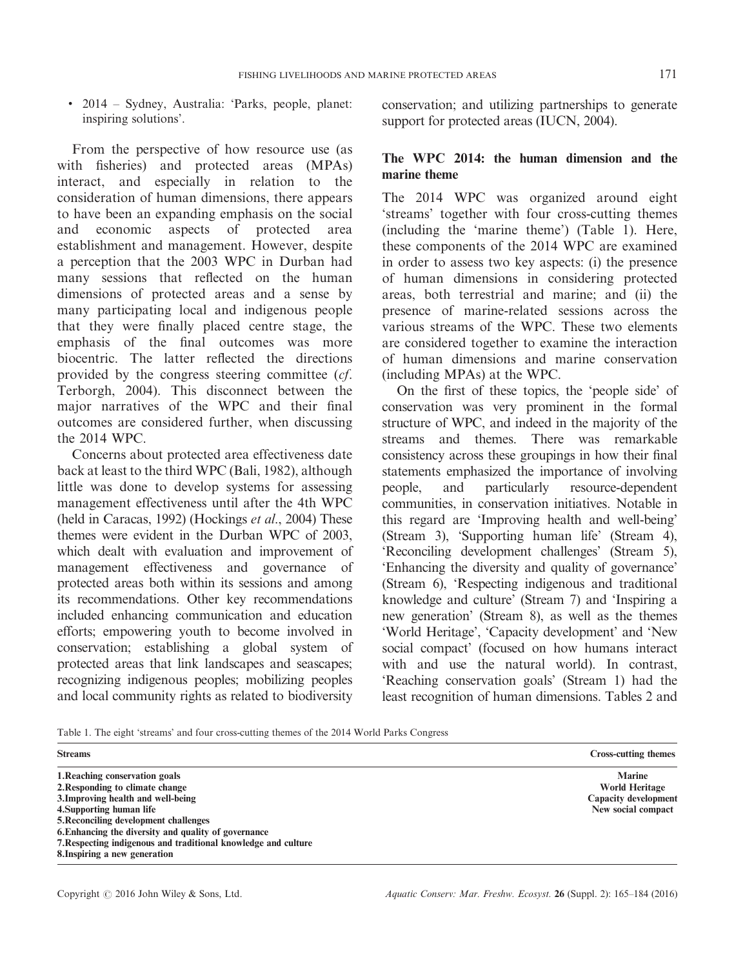• 2014 – Sydney, Australia: 'Parks, people, planet: inspiring solutions'.

From the perspective of how resource use (as with fisheries) and protected areas (MPAs) interact, and especially in relation to the consideration of human dimensions, there appears to have been an expanding emphasis on the social and economic aspects of protected area establishment and management. However, despite a perception that the 2003 WPC in Durban had many sessions that reflected on the human dimensions of protected areas and a sense by many participating local and indigenous people that they were finally placed centre stage, the emphasis of the final outcomes was more biocentric. The latter reflected the directions provided by the congress steering committee (cf. Terborgh, 2004). This disconnect between the major narratives of the WPC and their final outcomes are considered further, when discussing the 2014 WPC.

Concerns about protected area effectiveness date back at least to the third WPC (Bali, 1982), although little was done to develop systems for assessing management effectiveness until after the 4th WPC (held in Caracas, 1992) (Hockings et al., 2004) These themes were evident in the Durban WPC of 2003, which dealt with evaluation and improvement of management effectiveness and governance of protected areas both within its sessions and among its recommendations. Other key recommendations included enhancing communication and education efforts; empowering youth to become involved in conservation; establishing a global system of protected areas that link landscapes and seascapes; recognizing indigenous peoples; mobilizing peoples and local community rights as related to biodiversity conservation; and utilizing partnerships to generate support for protected areas (IUCN, 2004).

# The WPC 2014: the human dimension and the marine theme

The 2014 WPC was organized around eight 'streams' together with four cross-cutting themes (including the 'marine theme') (Table 1). Here, these components of the 2014 WPC are examined in order to assess two key aspects: (i) the presence of human dimensions in considering protected areas, both terrestrial and marine; and (ii) the presence of marine-related sessions across the various streams of the WPC. These two elements are considered together to examine the interaction of human dimensions and marine conservation (including MPAs) at the WPC.

On the first of these topics, the 'people side' of conservation was very prominent in the formal structure of WPC, and indeed in the majority of the streams and themes. There was remarkable consistency across these groupings in how their final statements emphasized the importance of involving people, and particularly resource-dependent communities, in conservation initiatives. Notable in this regard are 'Improving health and well-being' (Stream 3), 'Supporting human life' (Stream 4), 'Reconciling development challenges' (Stream 5), 'Enhancing the diversity and quality of governance' (Stream 6), 'Respecting indigenous and traditional knowledge and culture' (Stream 7) and 'Inspiring a new generation' (Stream 8), as well as the themes 'World Heritage', 'Capacity development' and 'New social compact' (focused on how humans interact with and use the natural world). In contrast, 'Reaching conservation goals' (Stream 1) had the least recognition of human dimensions. Tables 2 and

| Table 1. The eight 'streams' and four cross-cutting themes of the 2014 World Parks Congress |  |  |  |  |  |  |  |  |  |  |  |  |  |  |  |
|---------------------------------------------------------------------------------------------|--|--|--|--|--|--|--|--|--|--|--|--|--|--|--|
|---------------------------------------------------------------------------------------------|--|--|--|--|--|--|--|--|--|--|--|--|--|--|--|

| <b>Streams</b>                                                 | <b>Cross-cutting themes</b> |
|----------------------------------------------------------------|-----------------------------|
| 1. Reaching conservation goals                                 | <b>Marine</b>               |
| 2. Responding to climate change                                | World Heritage              |
| 3. Improving health and well-being                             | <b>Capacity development</b> |
| 4. Supporting human life                                       | New social compact          |
| 5. Reconciling development challenges                          |                             |
| 6. Enhancing the diversity and quality of governance           |                             |
| 7. Respecting indigenous and traditional knowledge and culture |                             |
| 8. Inspiring a new generation                                  |                             |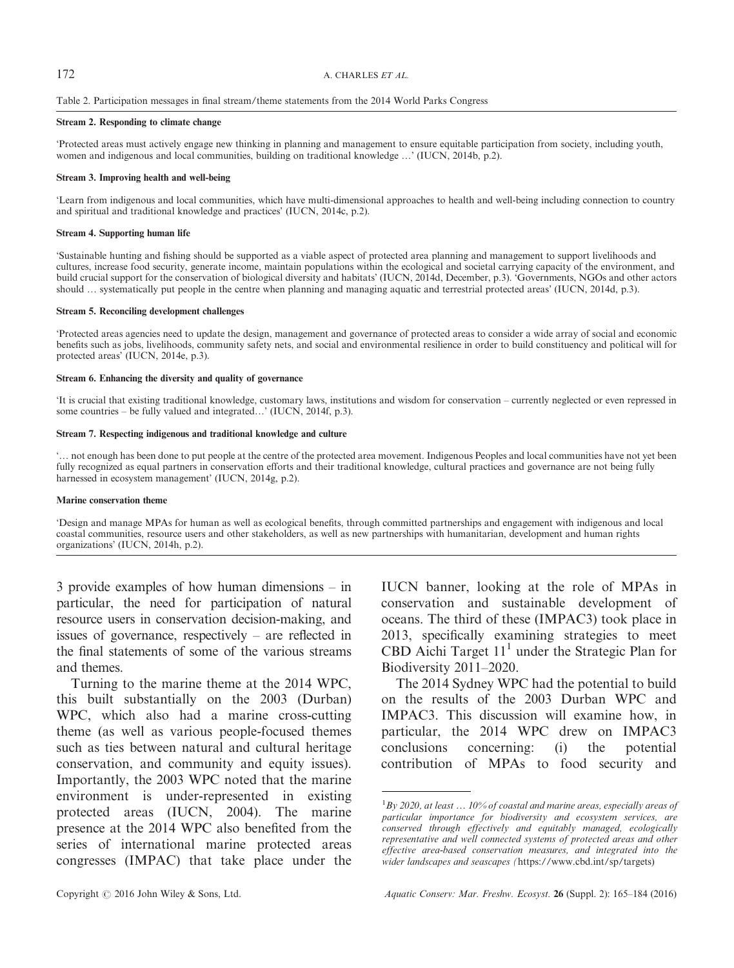# 172 A. CHARLES ET AL.

### Table 2. Participation messages in final stream/theme statements from the 2014 World Parks Congress

#### Stream 2. Responding to climate change

'Protected areas must actively engage new thinking in planning and management to ensure equitable participation from society, including youth, women and indigenous and local communities, building on traditional knowledge ...' (IUCN, 2014b, p.2).

### Stream 3. Improving health and well-being

'Learn from indigenous and local communities, which have multi-dimensional approaches to health and well-being including connection to country and spiritual and traditional knowledge and practices' (IUCN, 2014c, p.2).

### Stream 4. Supporting human life

'Sustainable hunting and fishing should be supported as a viable aspect of protected area planning and management to support livelihoods and cultures, increase food security, generate income, maintain populations within the ecological and societal carrying capacity of the environment, and build crucial support for the conservation of biological diversity and habitats' (IUCN, 2014d, December, p.3). 'Governments, NGOs and other actors should … systematically put people in the centre when planning and managing aquatic and terrestrial protected areas' (IUCN, 2014d, p.3).

### Stream 5. Reconciling development challenges

'Protected areas agencies need to update the design, management and governance of protected areas to consider a wide array of social and economic benefits such as jobs, livelihoods, community safety nets, and social and environmental resilience in order to build constituency and political will for protected areas' (IUCN, 2014e, p.3).

### Stream 6. Enhancing the diversity and quality of governance

'It is crucial that existing traditional knowledge, customary laws, institutions and wisdom for conservation – currently neglected or even repressed in some countries – be fully valued and integrated...' (IUCN, 2014f, p.3).

### Stream 7. Respecting indigenous and traditional knowledge and culture

'… not enough has been done to put people at the centre of the protected area movement. Indigenous Peoples and local communities have not yet been fully recognized as equal partners in conservation efforts and their traditional knowledge, cultural practices and governance are not being fully harnessed in ecosystem management' (IUCN, 2014g, p.2).

### Marine conservation theme

'Design and manage MPAs for human as well as ecological benefits, through committed partnerships and engagement with indigenous and local coastal communities, resource users and other stakeholders, as well as new partnerships with humanitarian, development and human rights organizations' (IUCN, 2014h, p.2).

3 provide examples of how human dimensions – in particular, the need for participation of natural resource users in conservation decision-making, and issues of governance, respectively – are reflected in the final statements of some of the various streams and themes.

Turning to the marine theme at the 2014 WPC, this built substantially on the 2003 (Durban) WPC, which also had a marine cross-cutting theme (as well as various people-focused themes such as ties between natural and cultural heritage conservation, and community and equity issues). Importantly, the 2003 WPC noted that the marine environment is under-represented in existing protected areas (IUCN, 2004). The marine presence at the 2014 WPC also benefited from the series of international marine protected areas congresses (IMPAC) that take place under the

IUCN banner, looking at the role of MPAs in conservation and sustainable development of oceans. The third of these (IMPAC3) took place in 2013, specifically examining strategies to meet CBD Aichi Target  $11<sup>1</sup>$  under the Strategic Plan for Biodiversity 2011–2020.

The 2014 Sydney WPC had the potential to build on the results of the 2003 Durban WPC and IMPAC3. This discussion will examine how, in particular, the 2014 WPC drew on IMPAC3 conclusions concerning: (i) the potential contribution of MPAs to food security and

 $1$ By 2020, at least  $\dots$  10% of coastal and marine areas, especially areas of particular importance for biodiversity and ecosystem services, are conserved through effectively and equitably managed, ecologically representative and well connected systems of protected areas and other effective area-based conservation measures, and integrated into the wider landscapes and seascapes (<https://www.cbd.int/sp/targets>)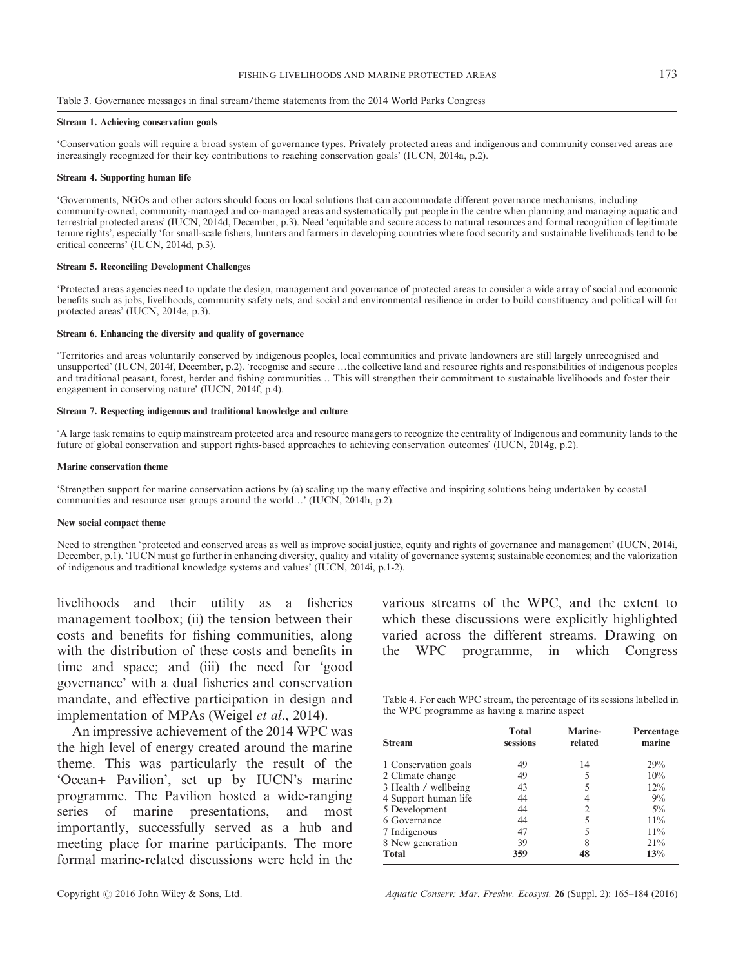#### Table 3. Governance messages in final stream/theme statements from the 2014 World Parks Congress

#### Stream 1. Achieving conservation goals

'Conservation goals will require a broad system of governance types. Privately protected areas and indigenous and community conserved areas are increasingly recognized for their key contributions to reaching conservation goals' (IUCN, 2014a, p.2).

#### Stream 4. Supporting human life

'Governments, NGOs and other actors should focus on local solutions that can accommodate different governance mechanisms, including community-owned, community-managed and co-managed areas and systematically put people in the centre when planning and managing aquatic and terrestrial protected areas' (IUCN, 2014d, December, p.3). Need 'equitable and secure access to natural resources and formal recognition of legitimate tenure rights', especially 'for small-scale fishers, hunters and farmers in developing countries where food security and sustainable livelihoods tend to be critical concerns' (IUCN, 2014d, p.3).

### Stream 5. Reconciling Development Challenges

'Protected areas agencies need to update the design, management and governance of protected areas to consider a wide array of social and economic benefits such as jobs, livelihoods, community safety nets, and social and environmental resilience in order to build constituency and political will for protected areas' (IUCN, 2014e, p.3).

### Stream 6. Enhancing the diversity and quality of governance

'Territories and areas voluntarily conserved by indigenous peoples, local communities and private landowners are still largely unrecognised and unsupported' (IUCN, 2014f, December, p.2). 'recognise and secure …the collective land and resource rights and responsibilities of indigenous peoples and traditional peasant, forest, herder and fishing communities… This will strengthen their commitment to sustainable livelihoods and foster their engagement in conserving nature' (IUCN, 2014f, p.4).

#### Stream 7. Respecting indigenous and traditional knowledge and culture

'A large task remains to equip mainstream protected area and resource managers to recognize the centrality of Indigenous and community lands to the future of global conservation and support rights-based approaches to achieving conservation outcomes' (IUCN, 2014g, p.2).

#### Marine conservation theme

'Strengthen support for marine conservation actions by (a) scaling up the many effective and inspiring solutions being undertaken by coastal communities and resource user groups around the world…' (IUCN, 2014h, p.2).

### New social compact theme

Need to strengthen 'protected and conserved areas as well as improve social justice, equity and rights of governance and management' (IUCN, 2014i, December, p.1). 'IUCN must go further in enhancing diversity, quality and vitality of governance systems; sustainable economies; and the valorization of indigenous and traditional knowledge systems and values' (IUCN, 2014i, p.1-2).

livelihoods and their utility as a fisheries management toolbox; (ii) the tension between their costs and benefits for fishing communities, along with the distribution of these costs and benefits in time and space; and (iii) the need for 'good governance' with a dual fisheries and conservation mandate, and effective participation in design and implementation of MPAs (Weigel et al., 2014).

An impressive achievement of the 2014 WPC was the high level of energy created around the marine theme. This was particularly the result of the 'Ocean+ Pavilion', set up by IUCN's marine programme. The Pavilion hosted a wide-ranging series of marine presentations, and most importantly, successfully served as a hub and meeting place for marine participants. The more formal marine-related discussions were held in the

various streams of the WPC, and the extent to which these discussions were explicitly highlighted varied across the different streams. Drawing on the WPC programme, in which Congress

Table 4. For each WPC stream, the percentage of its sessions labelled in the WPC programme as having a marine aspect

| <b>Stream</b>        | <b>Total</b><br>sessions | Marine-<br>related | Percentage<br>marine |  |
|----------------------|--------------------------|--------------------|----------------------|--|
| 1 Conservation goals | 49                       | 14                 | 29%                  |  |
| 2 Climate change     | 49                       |                    | 10%                  |  |
| 3 Health / wellbeing | 43                       |                    | 12%                  |  |
| 4 Support human life | 44                       |                    | $9\%$                |  |
| 5 Development        | 44                       | 2                  | $5\%$                |  |
| 6 Governance         | 44                       |                    | 11%                  |  |
| 7 Indigenous         | 47                       |                    | 11%                  |  |
| 8 New generation     | 39                       |                    | 21%                  |  |
| <b>Total</b>         | 359                      | 48                 | 13%                  |  |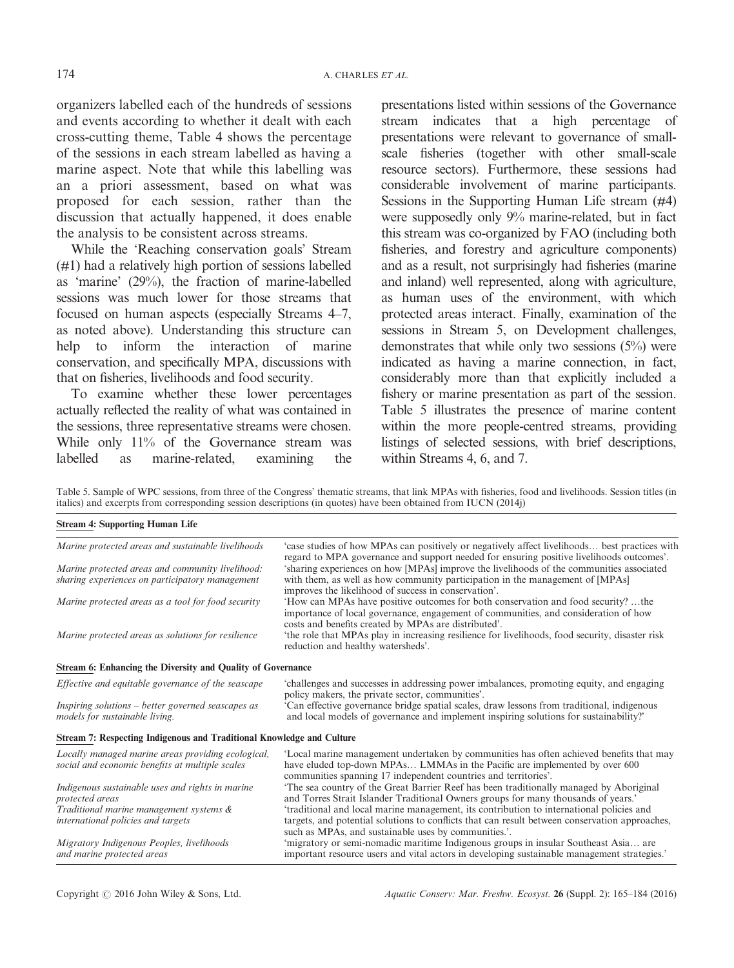organizers labelled each of the hundreds of sessions and events according to whether it dealt with each cross-cutting theme, Table 4 shows the percentage of the sessions in each stream labelled as having a marine aspect. Note that while this labelling was an a priori assessment, based on what was proposed for each session, rather than the discussion that actually happened, it does enable the analysis to be consistent across streams.

While the 'Reaching conservation goals' Stream (#1) had a relatively high portion of sessions labelled as 'marine' (29%), the fraction of marine-labelled sessions was much lower for those streams that focused on human aspects (especially Streams 4–7, as noted above). Understanding this structure can help to inform the interaction of marine conservation, and specifically MPA, discussions with that on fisheries, livelihoods and food security.

To examine whether these lower percentages actually reflected the reality of what was contained in the sessions, three representative streams were chosen. While only 11% of the Governance stream was labelled as marine-related, examining the presentations listed within sessions of the Governance stream indicates that a high percentage of presentations were relevant to governance of smallscale fisheries (together with other small-scale resource sectors). Furthermore, these sessions had considerable involvement of marine participants. Sessions in the Supporting Human Life stream (#4) were supposedly only 9% marine-related, but in fact this stream was co-organized by FAO (including both fisheries, and forestry and agriculture components) and as a result, not surprisingly had fisheries (marine and inland) well represented, along with agriculture, as human uses of the environment, with which protected areas interact. Finally, examination of the sessions in Stream 5, on Development challenges, demonstrates that while only two sessions  $(5\%)$  were indicated as having a marine connection, in fact, considerably more than that explicitly included a fishery or marine presentation as part of the session. Table 5 illustrates the presence of marine content within the more people-centred streams, providing listings of selected sessions, with brief descriptions, within Streams 4, 6, and 7.

Table 5. Sample of WPC sessions, from three of the Congress' thematic streams, that link MPAs with fisheries, food and livelihoods. Session titles (in italics) and excerpts from corresponding session descriptions (in quotes) have been obtained from IUCN (2014j)

| Marine protected areas and sustainable livelihoods                                                    | 'case studies of how MPAs can positively or negatively affect livelihoods best practices with<br>regard to MPA governance and support needed for ensuring positive livelihoods outcomes'.                                                          |  |  |  |  |
|-------------------------------------------------------------------------------------------------------|----------------------------------------------------------------------------------------------------------------------------------------------------------------------------------------------------------------------------------------------------|--|--|--|--|
| Marine protected areas and community livelihood:                                                      | 'sharing experiences on how [MPAs] improve the livelihoods of the communities associated                                                                                                                                                           |  |  |  |  |
| sharing experiences on participatory management                                                       | with them, as well as how community participation in the management of [MPAs]<br>improves the likelihood of success in conservation'.                                                                                                              |  |  |  |  |
| Marine protected areas as a tool for food security                                                    | 'How can MPAs have positive outcomes for both conservation and food security?the<br>importance of local governance, engagement of communities, and consideration of how<br>costs and benefits created by MPAs are distributed'.                    |  |  |  |  |
| Marine protected areas as solutions for resilience                                                    | the role that MPAs play in increasing resilience for livelihoods, food security, disaster risk<br>reduction and healthy watersheds'.                                                                                                               |  |  |  |  |
| Stream 6: Enhancing the Diversity and Quality of Governance                                           |                                                                                                                                                                                                                                                    |  |  |  |  |
| Effective and equitable governance of the seascape                                                    | 'challenges and successes in addressing power imbalances, promoting equity, and engaging<br>policy makers, the private sector, communities'.                                                                                                       |  |  |  |  |
| Inspiring solutions – better governed seascapes as<br>models for sustainable living.                  | Can effective governance bridge spatial scales, draw lessons from traditional, indigenous<br>and local models of governance and implement inspiring solutions for sustainability?'                                                                 |  |  |  |  |
| Stream 7: Respecting Indigenous and Traditional Knowledge and Culture                                 |                                                                                                                                                                                                                                                    |  |  |  |  |
| Locally managed marine areas providing ecological,<br>social and economic benefits at multiple scales | 'Local marine management undertaken by communities has often achieved benefits that may<br>have eluded top-down MPAs LMMAs in the Pacific are implemented by over 600<br>communities spanning 17 independent countries and territories'.           |  |  |  |  |
| Indigenous sustainable uses and rights in marine<br>protected areas                                   | The sea country of the Great Barrier Reef has been traditionally managed by Aboriginal<br>and Torres Strait Islander Traditional Owners groups for many thousands of years.'                                                                       |  |  |  |  |
| Traditional marine management systems &<br>international policies and targets                         | 'traditional and local marine management, its contribution to international policies and<br>targets, and potential solutions to conflicts that can result between conservation approaches,<br>such as MPAs, and sustainable uses by communities.'. |  |  |  |  |
| Migratory Indigenous Peoples, livelihoods<br>and marine protected areas                               | 'migratory or semi-nomadic maritime Indigenous groups in insular Southeast Asia are<br>important resource users and vital actors in developing sustainable management strategies.                                                                  |  |  |  |  |

Stream 4: Supporting Human Life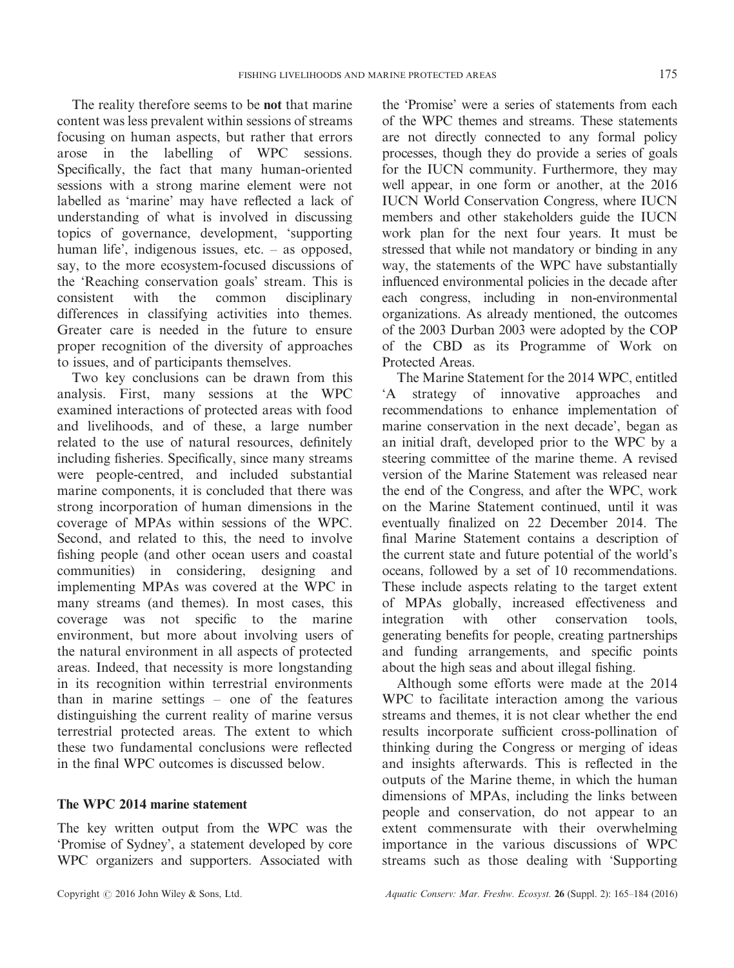The reality therefore seems to be not that marine content was less prevalent within sessions of streams focusing on human aspects, but rather that errors arose in the labelling of WPC sessions. Specifically, the fact that many human-oriented sessions with a strong marine element were not labelled as 'marine' may have reflected a lack of understanding of what is involved in discussing topics of governance, development, 'supporting human life', indigenous issues, etc. – as opposed, say, to the more ecosystem-focused discussions of the 'Reaching conservation goals' stream. This is consistent with the common disciplinary differences in classifying activities into themes. Greater care is needed in the future to ensure proper recognition of the diversity of approaches to issues, and of participants themselves.

Two key conclusions can be drawn from this analysis. First, many sessions at the WPC examined interactions of protected areas with food and livelihoods, and of these, a large number related to the use of natural resources, definitely including fisheries. Specifically, since many streams were people-centred, and included substantial marine components, it is concluded that there was strong incorporation of human dimensions in the coverage of MPAs within sessions of the WPC. Second, and related to this, the need to involve fishing people (and other ocean users and coastal communities) in considering, designing and implementing MPAs was covered at the WPC in many streams (and themes). In most cases, this coverage was not specific to the marine environment, but more about involving users of the natural environment in all aspects of protected areas. Indeed, that necessity is more longstanding in its recognition within terrestrial environments than in marine settings – one of the features distinguishing the current reality of marine versus terrestrial protected areas. The extent to which these two fundamental conclusions were reflected in the final WPC outcomes is discussed below.

# The WPC 2014 marine statement

The key written output from the WPC was the 'Promise of Sydney', a statement developed by core WPC organizers and supporters. Associated with the 'Promise' were a series of statements from each of the WPC themes and streams. These statements are not directly connected to any formal policy processes, though they do provide a series of goals for the IUCN community. Furthermore, they may well appear, in one form or another, at the 2016 IUCN World Conservation Congress, where IUCN members and other stakeholders guide the IUCN work plan for the next four years. It must be stressed that while not mandatory or binding in any way, the statements of the WPC have substantially influenced environmental policies in the decade after each congress, including in non-environmental organizations. As already mentioned, the outcomes of the 2003 Durban 2003 were adopted by the COP of the CBD as its Programme of Work on Protected Areas.

The Marine Statement for the 2014 WPC, entitled 'A strategy of innovative approaches and recommendations to enhance implementation of marine conservation in the next decade', began as an initial draft, developed prior to the WPC by a steering committee of the marine theme. A revised version of the Marine Statement was released near the end of the Congress, and after the WPC, work on the Marine Statement continued, until it was eventually finalized on 22 December 2014. The final Marine Statement contains a description of the current state and future potential of the world's oceans, followed by a set of 10 recommendations. These include aspects relating to the target extent of MPAs globally, increased effectiveness and integration with other conservation tools, generating benefits for people, creating partnerships and funding arrangements, and specific points about the high seas and about illegal fishing.

Although some efforts were made at the 2014 WPC to facilitate interaction among the various streams and themes, it is not clear whether the end results incorporate sufficient cross-pollination of thinking during the Congress or merging of ideas and insights afterwards. This is reflected in the outputs of the Marine theme, in which the human dimensions of MPAs, including the links between people and conservation, do not appear to an extent commensurate with their overwhelming importance in the various discussions of WPC streams such as those dealing with 'Supporting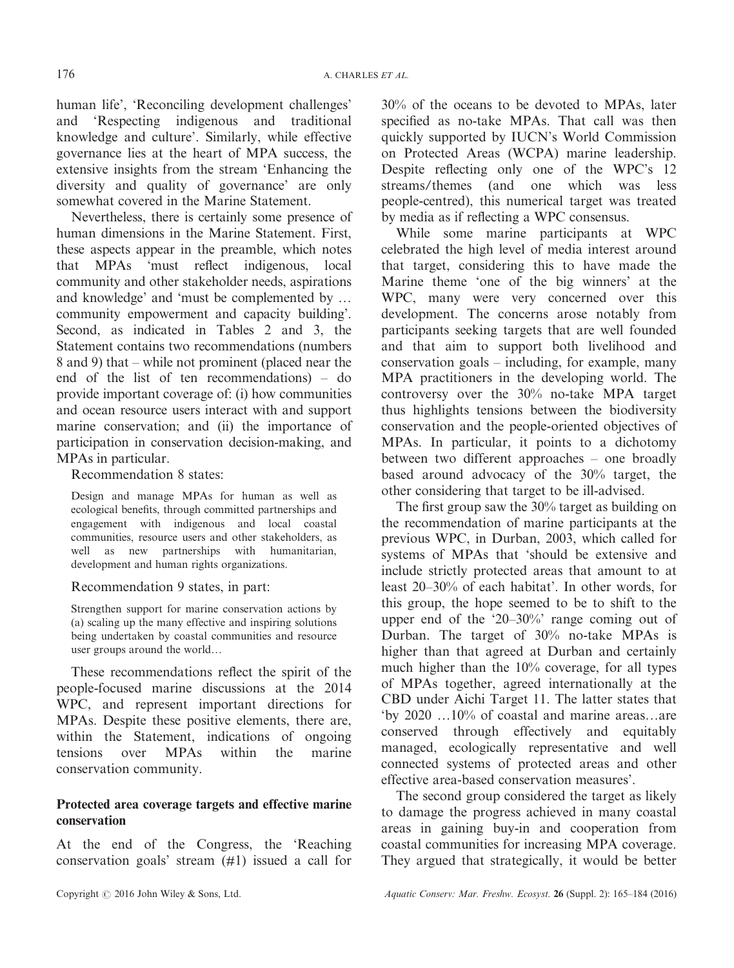human life', 'Reconciling development challenges' and 'Respecting indigenous and traditional knowledge and culture'. Similarly, while effective governance lies at the heart of MPA success, the extensive insights from the stream 'Enhancing the diversity and quality of governance' are only somewhat covered in the Marine Statement.

Nevertheless, there is certainly some presence of human dimensions in the Marine Statement. First, these aspects appear in the preamble, which notes that MPAs 'must reflect indigenous, local community and other stakeholder needs, aspirations and knowledge' and 'must be complemented by … community empowerment and capacity building'. Second, as indicated in Tables 2 and 3, the Statement contains two recommendations (numbers 8 and 9) that – while not prominent (placed near the end of the list of ten recommendations) – do provide important coverage of: (i) how communities and ocean resource users interact with and support marine conservation; and (ii) the importance of participation in conservation decision-making, and MPAs in particular.

Recommendation 8 states:

Design and manage MPAs for human as well as ecological benefits, through committed partnerships and engagement with indigenous and local coastal communities, resource users and other stakeholders, as well as new partnerships with humanitarian, development and human rights organizations.

Recommendation 9 states, in part:

Strengthen support for marine conservation actions by (a) scaling up the many effective and inspiring solutions being undertaken by coastal communities and resource user groups around the world…

These recommendations reflect the spirit of the people-focused marine discussions at the 2014 WPC, and represent important directions for MPAs. Despite these positive elements, there are, within the Statement, indications of ongoing tensions over MPAs within the marine conservation community.

# Protected area coverage targets and effective marine conservation

At the end of the Congress, the 'Reaching conservation goals' stream (#1) issued a call for 30% of the oceans to be devoted to MPAs, later specified as no-take MPAs. That call was then quickly supported by IUCN's World Commission on Protected Areas (WCPA) marine leadership. Despite reflecting only one of the WPC's 12 streams/themes (and one which was less people-centred), this numerical target was treated by media as if reflecting a WPC consensus.

While some marine participants at WPC celebrated the high level of media interest around that target, considering this to have made the Marine theme 'one of the big winners' at the WPC, many were very concerned over this development. The concerns arose notably from participants seeking targets that are well founded and that aim to support both livelihood and conservation goals – including, for example, many MPA practitioners in the developing world. The controversy over the 30% no-take MPA target thus highlights tensions between the biodiversity conservation and the people-oriented objectives of MPAs. In particular, it points to a dichotomy between two different approaches – one broadly based around advocacy of the 30% target, the other considering that target to be ill-advised.

The first group saw the 30% target as building on the recommendation of marine participants at the previous WPC, in Durban, 2003, which called for systems of MPAs that 'should be extensive and include strictly protected areas that amount to at least 20–30% of each habitat'. In other words, for this group, the hope seemed to be to shift to the upper end of the '20–30%' range coming out of Durban. The target of 30% no-take MPAs is higher than that agreed at Durban and certainly much higher than the 10% coverage, for all types of MPAs together, agreed internationally at the CBD under Aichi Target 11. The latter states that 'by 2020 …10% of coastal and marine areas…are conserved through effectively and equitably managed, ecologically representative and well connected systems of protected areas and other effective area-based conservation measures'.

The second group considered the target as likely to damage the progress achieved in many coastal areas in gaining buy-in and cooperation from coastal communities for increasing MPA coverage. They argued that strategically, it would be better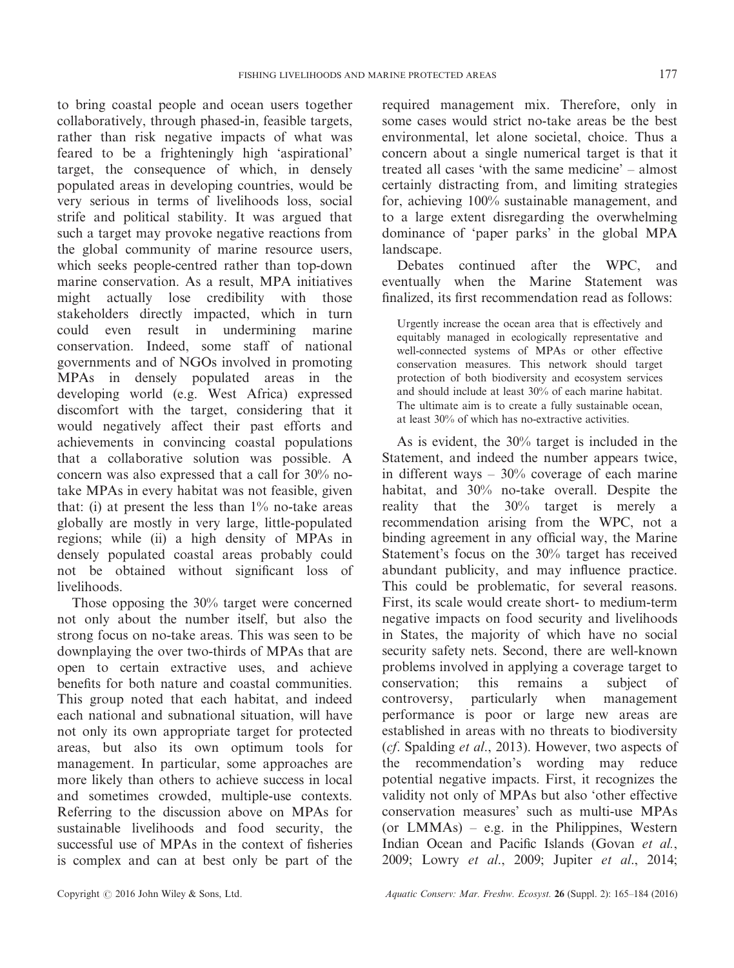to bring coastal people and ocean users together collaboratively, through phased-in, feasible targets, rather than risk negative impacts of what was feared to be a frighteningly high 'aspirational' target, the consequence of which, in densely populated areas in developing countries, would be very serious in terms of livelihoods loss, social strife and political stability. It was argued that such a target may provoke negative reactions from the global community of marine resource users, which seeks people-centred rather than top-down marine conservation. As a result, MPA initiatives might actually lose credibility with those stakeholders directly impacted, which in turn could even result in undermining marine conservation. Indeed, some staff of national governments and of NGOs involved in promoting MPAs in densely populated areas in the developing world (e.g. West Africa) expressed discomfort with the target, considering that it would negatively affect their past efforts and achievements in convincing coastal populations that a collaborative solution was possible. A concern was also expressed that a call for 30% notake MPAs in every habitat was not feasible, given that: (i) at present the less than  $1\%$  no-take areas globally are mostly in very large, little-populated regions; while (ii) a high density of MPAs in densely populated coastal areas probably could not be obtained without significant loss of livelihoods.

Those opposing the 30% target were concerned not only about the number itself, but also the strong focus on no-take areas. This was seen to be downplaying the over two-thirds of MPAs that are open to certain extractive uses, and achieve benefits for both nature and coastal communities. This group noted that each habitat, and indeed each national and subnational situation, will have not only its own appropriate target for protected areas, but also its own optimum tools for management. In particular, some approaches are more likely than others to achieve success in local and sometimes crowded, multiple-use contexts. Referring to the discussion above on MPAs for sustainable livelihoods and food security, the successful use of MPAs in the context of fisheries is complex and can at best only be part of the

required management mix. Therefore, only in some cases would strict no-take areas be the best environmental, let alone societal, choice. Thus a concern about a single numerical target is that it treated all cases 'with the same medicine' – almost certainly distracting from, and limiting strategies for, achieving 100% sustainable management, and to a large extent disregarding the overwhelming dominance of 'paper parks' in the global MPA landscape.

Debates continued after the WPC, and eventually when the Marine Statement was finalized, its first recommendation read as follows:

Urgently increase the ocean area that is effectively and equitably managed in ecologically representative and well-connected systems of MPAs or other effective conservation measures. This network should target protection of both biodiversity and ecosystem services and should include at least 30% of each marine habitat. The ultimate aim is to create a fully sustainable ocean, at least 30% of which has no-extractive activities.

As is evident, the 30% target is included in the Statement, and indeed the number appears twice, in different ways  $-30\%$  coverage of each marine habitat, and 30% no-take overall. Despite the reality that the 30% target is merely a recommendation arising from the WPC, not a binding agreement in any official way, the Marine Statement's focus on the 30% target has received abundant publicity, and may influence practice. This could be problematic, for several reasons. First, its scale would create short- to medium-term negative impacts on food security and livelihoods in States, the majority of which have no social security safety nets. Second, there are well-known problems involved in applying a coverage target to conservation; this remains a subject of controversy, particularly when management performance is poor or large new areas are established in areas with no threats to biodiversity (cf. Spalding et al., 2013). However, two aspects of the recommendation's wording may reduce potential negative impacts. First, it recognizes the validity not only of MPAs but also 'other effective conservation measures' such as multi-use MPAs (or  $LMMAs$ ) – e.g. in the Philippines, Western Indian Ocean and Pacific Islands (Govan et al., 2009; Lowry et al., 2009; Jupiter et al., 2014;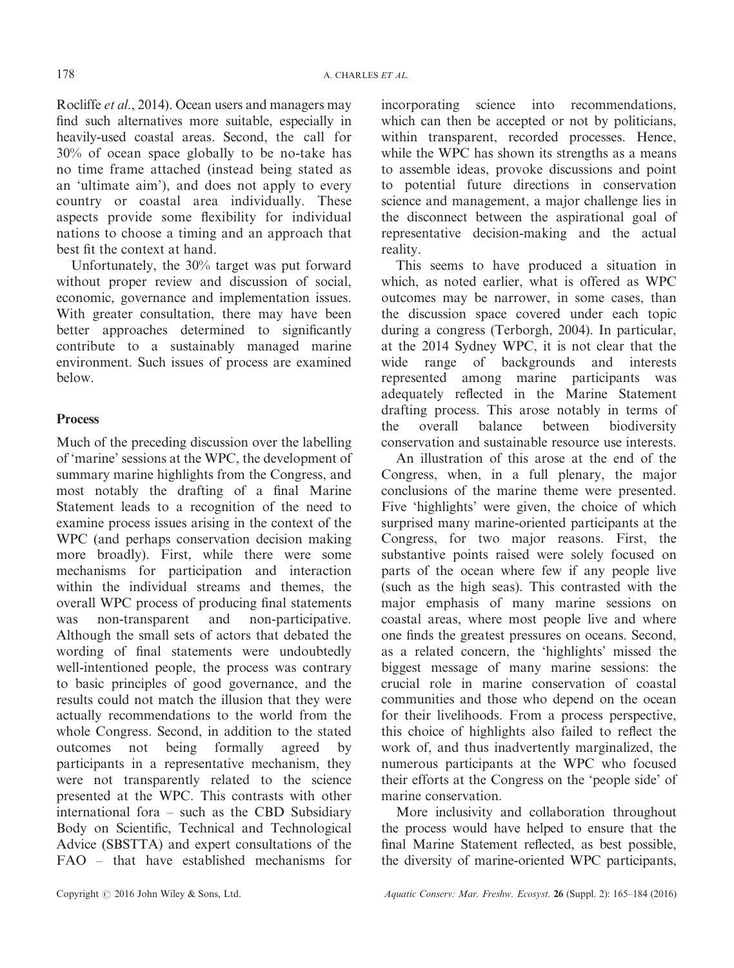Rocliffe et al., 2014). Ocean users and managers may find such alternatives more suitable, especially in heavily-used coastal areas. Second, the call for 30% of ocean space globally to be no-take has no time frame attached (instead being stated as an 'ultimate aim'), and does not apply to every country or coastal area individually. These aspects provide some flexibility for individual nations to choose a timing and an approach that best fit the context at hand.

Unfortunately, the 30% target was put forward without proper review and discussion of social, economic, governance and implementation issues. With greater consultation, there may have been better approaches determined to significantly contribute to a sustainably managed marine environment. Such issues of process are examined below.

# **Process**

Much of the preceding discussion over the labelling of 'marine' sessions at the WPC, the development of summary marine highlights from the Congress, and most notably the drafting of a final Marine Statement leads to a recognition of the need to examine process issues arising in the context of the WPC (and perhaps conservation decision making more broadly). First, while there were some mechanisms for participation and interaction within the individual streams and themes, the overall WPC process of producing final statements was non-transparent and non-participative. Although the small sets of actors that debated the wording of final statements were undoubtedly well-intentioned people, the process was contrary to basic principles of good governance, and the results could not match the illusion that they were actually recommendations to the world from the whole Congress. Second, in addition to the stated outcomes not being formally agreed by participants in a representative mechanism, they were not transparently related to the science presented at the WPC. This contrasts with other international fora – such as the CBD Subsidiary Body on Scientific, Technical and Technological Advice (SBSTTA) and expert consultations of the FAO – that have established mechanisms for

incorporating science into recommendations, which can then be accepted or not by politicians, within transparent, recorded processes. Hence, while the WPC has shown its strengths as a means to assemble ideas, provoke discussions and point to potential future directions in conservation science and management, a major challenge lies in the disconnect between the aspirational goal of representative decision-making and the actual reality.

This seems to have produced a situation in which, as noted earlier, what is offered as WPC outcomes may be narrower, in some cases, than the discussion space covered under each topic during a congress (Terborgh, 2004). In particular, at the 2014 Sydney WPC, it is not clear that the wide range of backgrounds and interests represented among marine participants was adequately reflected in the Marine Statement drafting process. This arose notably in terms of the overall balance between biodiversity conservation and sustainable resource use interests.

An illustration of this arose at the end of the Congress, when, in a full plenary, the major conclusions of the marine theme were presented. Five 'highlights' were given, the choice of which surprised many marine-oriented participants at the Congress, for two major reasons. First, the substantive points raised were solely focused on parts of the ocean where few if any people live (such as the high seas). This contrasted with the major emphasis of many marine sessions on coastal areas, where most people live and where one finds the greatest pressures on oceans. Second, as a related concern, the 'highlights' missed the biggest message of many marine sessions: the crucial role in marine conservation of coastal communities and those who depend on the ocean for their livelihoods. From a process perspective, this choice of highlights also failed to reflect the work of, and thus inadvertently marginalized, the numerous participants at the WPC who focused their efforts at the Congress on the 'people side' of marine conservation.

More inclusivity and collaboration throughout the process would have helped to ensure that the final Marine Statement reflected, as best possible, the diversity of marine-oriented WPC participants,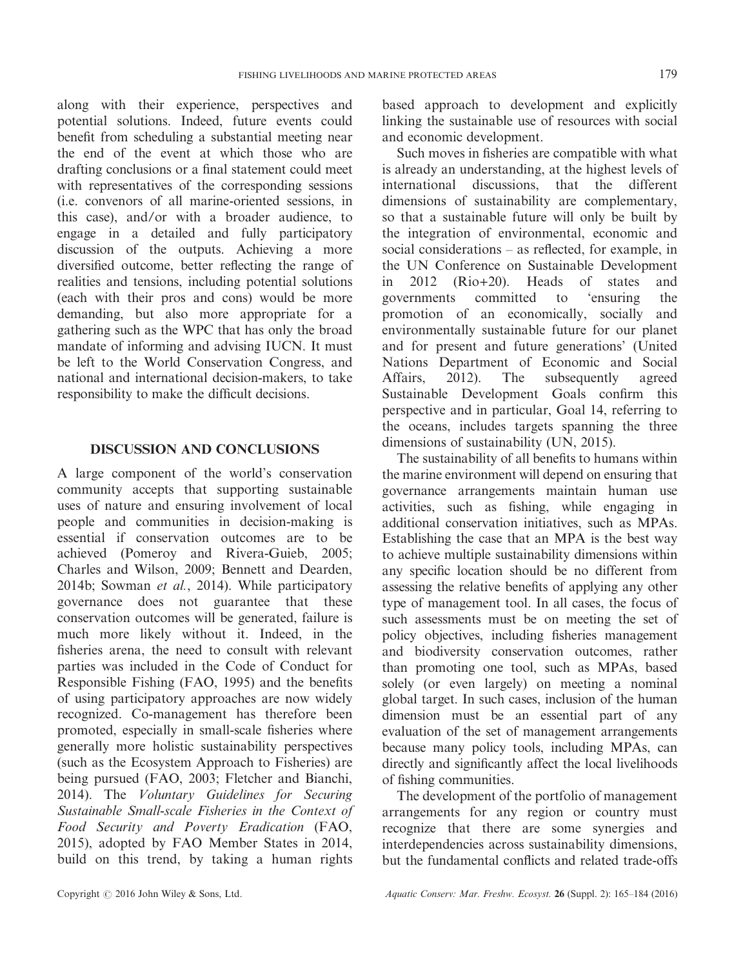along with their experience, perspectives and potential solutions. Indeed, future events could benefit from scheduling a substantial meeting near the end of the event at which those who are drafting conclusions or a final statement could meet with representatives of the corresponding sessions (i.e. convenors of all marine-oriented sessions, in this case), and/or with a broader audience, to engage in a detailed and fully participatory discussion of the outputs. Achieving a more diversified outcome, better reflecting the range of realities and tensions, including potential solutions (each with their pros and cons) would be more demanding, but also more appropriate for a gathering such as the WPC that has only the broad mandate of informing and advising IUCN. It must be left to the World Conservation Congress, and national and international decision-makers, to take responsibility to make the difficult decisions.

# DISCUSSION AND CONCLUSIONS

A large component of the world's conservation community accepts that supporting sustainable uses of nature and ensuring involvement of local people and communities in decision-making is essential if conservation outcomes are to be achieved (Pomeroy and Rivera-Guieb, 2005; Charles and Wilson, 2009; Bennett and Dearden, 2014b; Sowman et al., 2014). While participatory governance does not guarantee that these conservation outcomes will be generated, failure is much more likely without it. Indeed, in the fisheries arena, the need to consult with relevant parties was included in the Code of Conduct for Responsible Fishing (FAO, 1995) and the benefits of using participatory approaches are now widely recognized. Co-management has therefore been promoted, especially in small-scale fisheries where generally more holistic sustainability perspectives (such as the Ecosystem Approach to Fisheries) are being pursued (FAO, 2003; Fletcher and Bianchi, 2014). The Voluntary Guidelines for Securing Sustainable Small-scale Fisheries in the Context of Food Security and Poverty Eradication (FAO, 2015), adopted by FAO Member States in 2014, build on this trend, by taking a human rights

based approach to development and explicitly linking the sustainable use of resources with social and economic development.

Such moves in fisheries are compatible with what is already an understanding, at the highest levels of international discussions, that the different dimensions of sustainability are complementary, so that a sustainable future will only be built by the integration of environmental, economic and social considerations – as reflected, for example, in the UN Conference on Sustainable Development in 2012 (Rio+20). Heads of states and governments committed to 'ensuring the promotion of an economically, socially and environmentally sustainable future for our planet and for present and future generations' (United Nations Department of Economic and Social Affairs, 2012). The subsequently agreed Sustainable Development Goals confirm this perspective and in particular, Goal 14, referring to the oceans, includes targets spanning the three dimensions of sustainability (UN, 2015).

The sustainability of all benefits to humans within the marine environment will depend on ensuring that governance arrangements maintain human use activities, such as fishing, while engaging in additional conservation initiatives, such as MPAs. Establishing the case that an MPA is the best way to achieve multiple sustainability dimensions within any specific location should be no different from assessing the relative benefits of applying any other type of management tool. In all cases, the focus of such assessments must be on meeting the set of policy objectives, including fisheries management and biodiversity conservation outcomes, rather than promoting one tool, such as MPAs, based solely (or even largely) on meeting a nominal global target. In such cases, inclusion of the human dimension must be an essential part of any evaluation of the set of management arrangements because many policy tools, including MPAs, can directly and significantly affect the local livelihoods of fishing communities.

The development of the portfolio of management arrangements for any region or country must recognize that there are some synergies and interdependencies across sustainability dimensions, but the fundamental conflicts and related trade-offs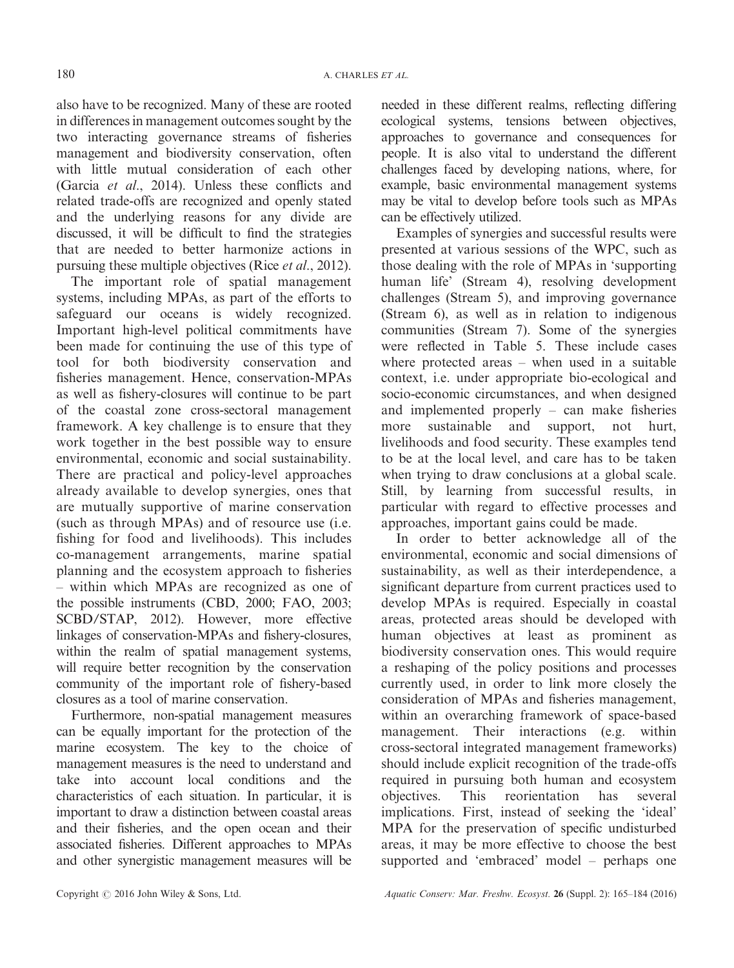also have to be recognized. Many of these are rooted in differences in management outcomes sought by the two interacting governance streams of fisheries management and biodiversity conservation, often with little mutual consideration of each other (Garcia et al., 2014). Unless these conflicts and related trade-offs are recognized and openly stated and the underlying reasons for any divide are discussed, it will be difficult to find the strategies that are needed to better harmonize actions in pursuing these multiple objectives (Rice et al., 2012).

The important role of spatial management systems, including MPAs, as part of the efforts to safeguard our oceans is widely recognized. Important high-level political commitments have been made for continuing the use of this type of tool for both biodiversity conservation and fisheries management. Hence, conservation-MPAs as well as fishery-closures will continue to be part of the coastal zone cross-sectoral management framework. A key challenge is to ensure that they work together in the best possible way to ensure environmental, economic and social sustainability. There are practical and policy-level approaches already available to develop synergies, ones that are mutually supportive of marine conservation (such as through MPAs) and of resource use (i.e. fishing for food and livelihoods). This includes co-management arrangements, marine spatial planning and the ecosystem approach to fisheries – within which MPAs are recognized as one of the possible instruments (CBD, 2000; FAO, 2003; SCBD/STAP, 2012). However, more effective linkages of conservation-MPAs and fishery-closures, within the realm of spatial management systems, will require better recognition by the conservation community of the important role of fishery-based closures as a tool of marine conservation.

Furthermore, non-spatial management measures can be equally important for the protection of the marine ecosystem. The key to the choice of management measures is the need to understand and take into account local conditions and the characteristics of each situation. In particular, it is important to draw a distinction between coastal areas and their fisheries, and the open ocean and their associated fisheries. Different approaches to MPAs and other synergistic management measures will be

needed in these different realms, reflecting differing ecological systems, tensions between objectives, approaches to governance and consequences for people. It is also vital to understand the different challenges faced by developing nations, where, for example, basic environmental management systems may be vital to develop before tools such as MPAs can be effectively utilized.

Examples of synergies and successful results were presented at various sessions of the WPC, such as those dealing with the role of MPAs in 'supporting human life' (Stream 4), resolving development challenges (Stream 5), and improving governance (Stream 6), as well as in relation to indigenous communities (Stream 7). Some of the synergies were reflected in Table 5. These include cases where protected areas – when used in a suitable context, i.e. under appropriate bio-ecological and socio-economic circumstances, and when designed and implemented properly – can make fisheries more sustainable and support, not hurt, livelihoods and food security. These examples tend to be at the local level, and care has to be taken when trying to draw conclusions at a global scale. Still, by learning from successful results, in particular with regard to effective processes and approaches, important gains could be made.

In order to better acknowledge all of the environmental, economic and social dimensions of sustainability, as well as their interdependence, a significant departure from current practices used to develop MPAs is required. Especially in coastal areas, protected areas should be developed with human objectives at least as prominent as biodiversity conservation ones. This would require a reshaping of the policy positions and processes currently used, in order to link more closely the consideration of MPAs and fisheries management, within an overarching framework of space-based management. Their interactions (e.g. within cross-sectoral integrated management frameworks) should include explicit recognition of the trade-offs required in pursuing both human and ecosystem objectives. This reorientation has several implications. First, instead of seeking the 'ideal' MPA for the preservation of specific undisturbed areas, it may be more effective to choose the best supported and 'embraced' model – perhaps one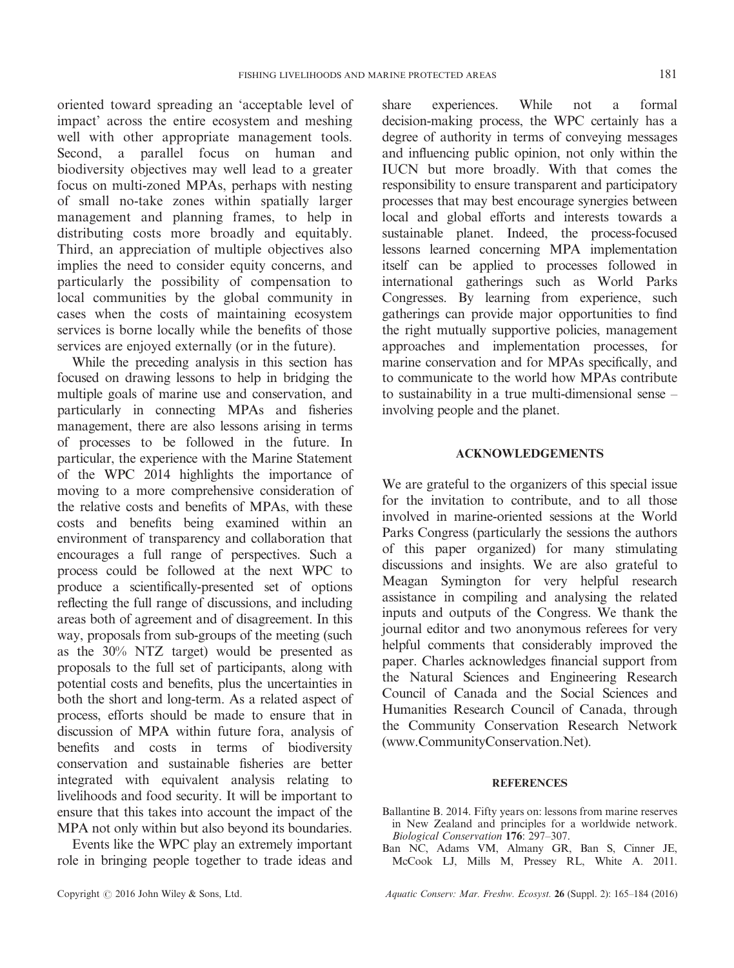oriented toward spreading an 'acceptable level of impact' across the entire ecosystem and meshing well with other appropriate management tools. Second, a parallel focus on human and biodiversity objectives may well lead to a greater focus on multi-zoned MPAs, perhaps with nesting of small no-take zones within spatially larger management and planning frames, to help in distributing costs more broadly and equitably. Third, an appreciation of multiple objectives also implies the need to consider equity concerns, and particularly the possibility of compensation to local communities by the global community in cases when the costs of maintaining ecosystem services is borne locally while the benefits of those services are enjoyed externally (or in the future).

While the preceding analysis in this section has focused on drawing lessons to help in bridging the multiple goals of marine use and conservation, and particularly in connecting MPAs and fisheries management, there are also lessons arising in terms of processes to be followed in the future. In particular, the experience with the Marine Statement of the WPC 2014 highlights the importance of moving to a more comprehensive consideration of the relative costs and benefits of MPAs, with these costs and benefits being examined within an environment of transparency and collaboration that encourages a full range of perspectives. Such a process could be followed at the next WPC to produce a scientifically-presented set of options reflecting the full range of discussions, and including areas both of agreement and of disagreement. In this way, proposals from sub-groups of the meeting (such as the 30% NTZ target) would be presented as proposals to the full set of participants, along with potential costs and benefits, plus the uncertainties in both the short and long-term. As a related aspect of process, efforts should be made to ensure that in discussion of MPA within future fora, analysis of benefits and costs in terms of biodiversity conservation and sustainable fisheries are better integrated with equivalent analysis relating to livelihoods and food security. It will be important to ensure that this takes into account the impact of the MPA not only within but also beyond its boundaries.

Events like the WPC play an extremely important role in bringing people together to trade ideas and

share experiences. While not a formal decision-making process, the WPC certainly has a degree of authority in terms of conveying messages and influencing public opinion, not only within the IUCN but more broadly. With that comes the responsibility to ensure transparent and participatory processes that may best encourage synergies between local and global efforts and interests towards a sustainable planet. Indeed, the process-focused lessons learned concerning MPA implementation itself can be applied to processes followed in international gatherings such as World Parks Congresses. By learning from experience, such gatherings can provide major opportunities to find the right mutually supportive policies, management approaches and implementation processes, for marine conservation and for MPAs specifically, and to communicate to the world how MPAs contribute to sustainability in a true multi-dimensional sense – involving people and the planet.

# ACKNOWLEDGEMENTS

We are grateful to the organizers of this special issue for the invitation to contribute, and to all those involved in marine-oriented sessions at the World Parks Congress (particularly the sessions the authors of this paper organized) for many stimulating discussions and insights. We are also grateful to Meagan Symington for very helpful research assistance in compiling and analysing the related inputs and outputs of the Congress. We thank the journal editor and two anonymous referees for very helpful comments that considerably improved the paper. Charles acknowledges financial support from the Natural Sciences and Engineering Research Council of Canada and the Social Sciences and Humanities Research Council of Canada, through the Community Conservation Research Network (www.[CommunityConservation.Net](http://CommunityConservation.Net)).

## REFERENCES

- Ballantine B. 2014. Fifty years on: lessons from marine reserves in New Zealand and principles for a worldwide network. Biological Conservation 176: 297–307.
- Ban NC, Adams VM, Almany GR, Ban S, Cinner JE, McCook LJ, Mills M, Pressey RL, White A. 2011.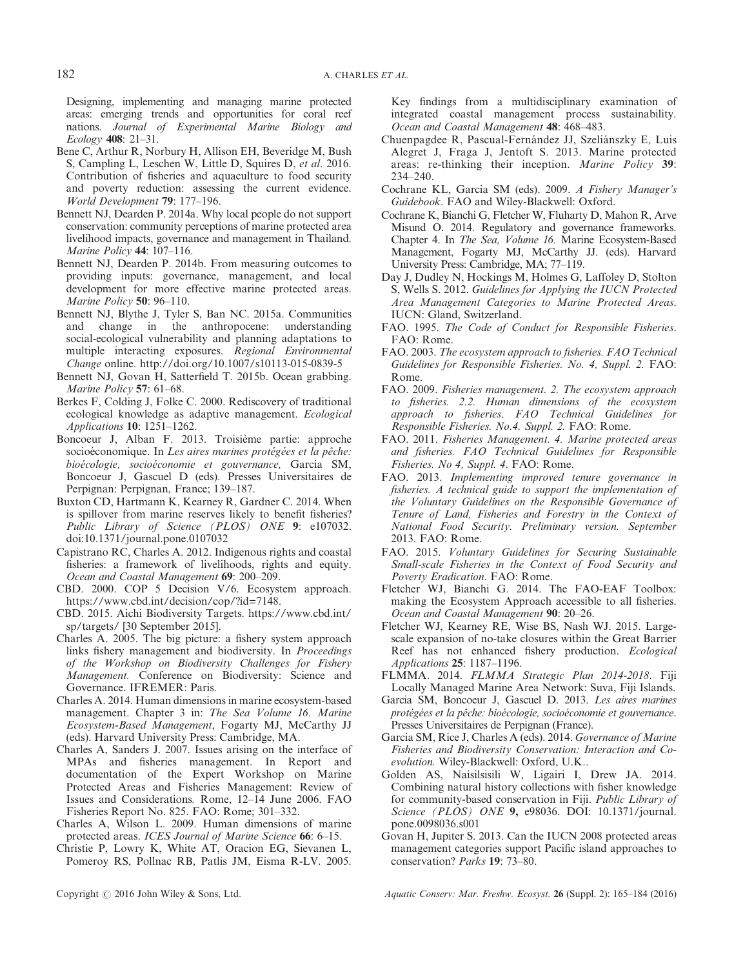Designing, implementing and managing marine protected areas: emerging trends and opportunities for coral reef nations. Journal of Experimental Marine Biology and Ecology 408: 21–31.

- Bene C, Arthur R, Norbury H, Allison EH, Beveridge M, Bush S, Campling L, Leschen W, Little D, Squires D, et al. 2016. Contribution of fisheries and aquaculture to food security and poverty reduction: assessing the current evidence. World Development 79: 177–196.
- Bennett NJ, Dearden P. 2014a. Why local people do not support conservation: community perceptions of marine protected area livelihood impacts, governance and management in Thailand. Marine Policy **44**: 107-116.
- Bennett NJ, Dearden P. 2014b. From measuring outcomes to providing inputs: governance, management, and local development for more effective marine protected areas. Marine Policy 50: 96–110.
- Bennett NJ, Blythe J, Tyler S, Ban NC. 2015a. Communities and change in the anthropocene: understanding social-ecological vulnerability and planning adaptations to multiple interacting exposures. Regional Environmental Change online.<http://doi.org/10.1007/s10113-015-0839-5>
- Bennett NJ, Govan H, Satterfield T. 2015b. Ocean grabbing. Marine Policy 57: 61-68.
- Berkes F, Colding J, Folke C. 2000. Rediscovery of traditional ecological knowledge as adaptive management. Ecological Applications 10: 1251–1262.
- Boncoeur J, Alban F. 2013. Troisième partie: approche socioéconomique. In Les aires marines protégées et la pêche: bioécologie, socioéconomie et gouvernance, Garcia SM, Boncoeur J, Gascuel D (eds). Presses Universitaires de Perpignan: Perpignan, France; 139–187.
- Buxton CD, Hartmann K, Kearney R, Gardner C. 2014. When is spillover from marine reserves likely to benefit fisheries? Public Library of Science (PLOS) ONE 9: e107032. doi[:10.1371/journal.pone.0107032](http://dx.doi.org/10.1371/journal.pone.0107032)
- Capistrano RC, Charles A. 2012. Indigenous rights and coastal fisheries: a framework of livelihoods, rights and equity. Ocean and Coastal Management 69: 200–209.
- CBD. 2000. COP 5 Decision V/6. Ecosystem approach. [https://www.cbd.int/decision/cop/?id=7148.](https://www.cbd.int/decision/cop/?id=7148)
- CBD. 2015. Aichi Biodiversity Targets. [https://www.cbd.int/](https://www.cbd.int/sp/targets/) [sp/targets/](https://www.cbd.int/sp/targets/) [30 September 2015].
- Charles A. 2005. The big picture: a fishery system approach links fishery management and biodiversity. In Proceedings of the Workshop on Biodiversity Challenges for Fishery Management. Conference on Biodiversity: Science and Governance. IFREMER: Paris.
- Charles A. 2014. Human dimensions in marine ecosystem-based management. Chapter 3 in: The Sea Volume 16. Marine Ecosystem-Based Management, Fogarty MJ, McCarthy JJ (eds). Harvard University Press: Cambridge, MA.
- Charles A, Sanders J. 2007. Issues arising on the interface of MPAs and fisheries management. In Report and documentation of the Expert Workshop on Marine Protected Areas and Fisheries Management: Review of Issues and Considerations. Rome, 12–14 June 2006. FAO Fisheries Report No. 825. FAO: Rome; 301–332.
- Charles A, Wilson L. 2009. Human dimensions of marine protected areas. ICES Journal of Marine Science 66: 6–15.
- Christie P, Lowry K, White AT, Oracion EG, Sievanen L, Pomeroy RS, Pollnac RB, Patlis JM, Eisma R-LV. 2005.

Key findings from a multidisciplinary examination of integrated coastal management process sustainability. Ocean and Coastal Management 48: 468–483.

- Chuenpagdee R, Pascual-Fernández JJ, Szeliánszky E, Luis Alegret J, Fraga J, Jentoft S. 2013. Marine protected areas: re-thinking their inception. Marine Policy 39: 234–240.
- Cochrane KL, Garcia SM (eds). 2009. A Fishery Manager's Guidebook. FAO and Wiley-Blackwell: Oxford.
- Cochrane K, Bianchi G, Fletcher W, Fluharty D, Mahon R, Arve Misund O. 2014. Regulatory and governance frameworks. Chapter 4. In The Sea, Volume 16. Marine Ecosystem-Based Management, Fogarty MJ, McCarthy JJ. (eds). Harvard University Press: Cambridge, MA; 77–119.
- Day J, Dudley N, Hockings M, Holmes G, Laffoley D, Stolton S, Wells S. 2012. Guidelines for Applying the IUCN Protected Area Management Categories to Marine Protected Areas. IUCN: Gland, Switzerland.
- FAO. 1995. The Code of Conduct for Responsible Fisheries. FAO: Rome.
- FAO. 2003. The ecosystem approach to fisheries. FAO Technical Guidelines for Responsible Fisheries. No. 4, Suppl. 2. FAO: Rome.
- FAO. 2009. Fisheries management. 2. The ecosystem approach to fisheries. 2.2. Human dimensions of the ecosystem approach to fisheries. FAO Technical Guidelines for Responsible Fisheries. No.4. Suppl. 2. FAO: Rome.
- FAO. 2011. Fisheries Management. 4. Marine protected areas and fisheries. FAO Technical Guidelines for Responsible Fisheries. No 4, Suppl. 4. FAO: Rome.
- FAO. 2013. Implementing improved tenure governance in fisheries. A technical guide to support the implementation of the Voluntary Guidelines on the Responsible Governance of Tenure of Land, Fisheries and Forestry in the Context of National Food Security. Preliminary version. September 2013. FAO: Rome.
- FAO. 2015. Voluntary Guidelines for Securing Sustainable Small-scale Fisheries in the Context of Food Security and Poverty Eradication. FAO: Rome.
- Fletcher WJ, Bianchi G. 2014. The FAO-EAF Toolbox: making the Ecosystem Approach accessible to all fisheries. Ocean and Coastal Management 90: 20–26.
- Fletcher WJ, Kearney RE, Wise BS, Nash WJ. 2015. Largescale expansion of no-take closures within the Great Barrier Reef has not enhanced fishery production. Ecological Applications 25: 1187–1196.
- FLMMA. 2014. FLMMA Strategic Plan 2014-2018. Fiji Locally Managed Marine Area Network: Suva, Fiji Islands.
- Garcia SM, Boncoeur J, Gascuel D. 2013. Les aires marines protégées et la pêche: bioécologie, socioéconomie et gouvernance. Presses Universitaires de Perpignan (France).
- Garcia SM, Rice J, Charles A (eds). 2014. Governance of Marine Fisheries and Biodiversity Conservation: Interaction and Coevolution. Wiley-Blackwell: Oxford, U.K..
- Golden AS, Naisilsisili W, Ligairi I, Drew JA. 2014. Combining natural history collections with fisher knowledge for community-based conservation in Fiji. Public Library of Science (PLOS) ONE 9, e98036. DOI: [10.1371/journal.](http://dx.doi.org/10.1371/journal.pone.0098036.s001) [pone.0098036.s001](http://dx.doi.org/10.1371/journal.pone.0098036.s001)
- Govan H, Jupiter S. 2013. Can the IUCN 2008 protected areas management categories support Pacific island approaches to conservation? Parks 19: 73–80.

Copyright  $\odot$  2016 John Wiley & Sons, Ltd. Aquatic Conserv: Mar. Freshw. Ecosyst. 26 (Suppl. 2): 165-184 (2016)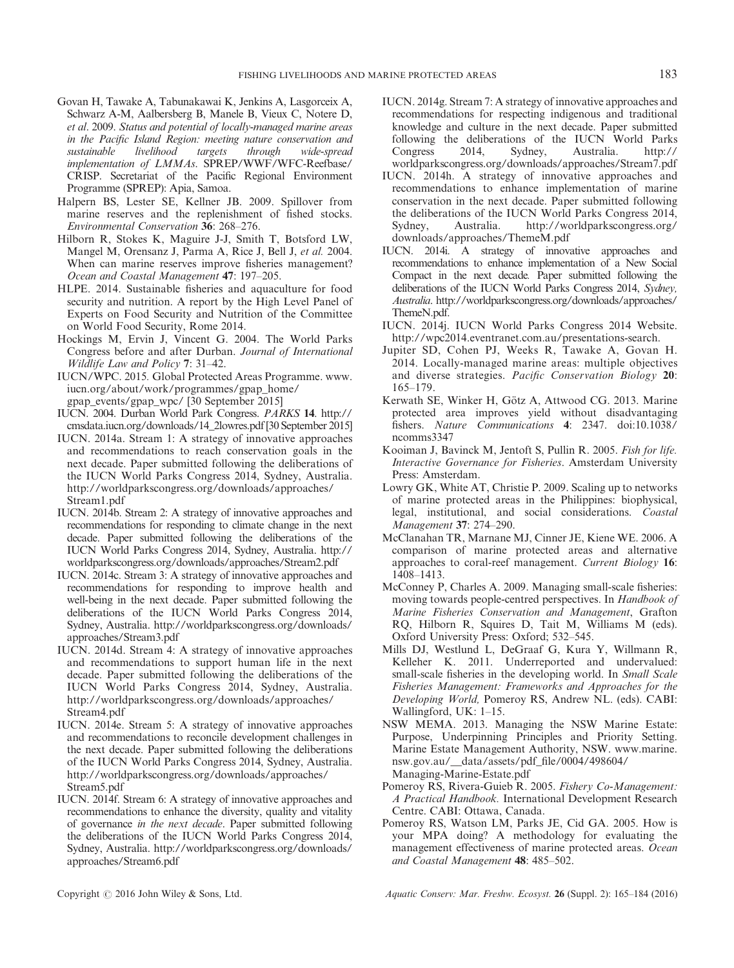- Govan H, Tawake A, Tabunakawai K, Jenkins A, Lasgorceix A, Schwarz A-M, Aalbersberg B, Manele B, Vieux C, Notere D, et al. 2009. Status and potential of locally-managed marine areas in the Pacific Island Region: meeting nature conservation and sustainable livelihood targets through wide-spread implementation of LMMAs. SPREP/WWF/WFC-Reefbase/ CRISP. Secretariat of the Pacific Regional Environment Programme (SPREP): Apia, Samoa.
- Halpern BS, Lester SE, Kellner JB. 2009. Spillover from marine reserves and the replenishment of fished stocks. Environmental Conservation 36: 268–276.
- Hilborn R, Stokes K, Maguire J-J, Smith T, Botsford LW, Mangel M, Orensanz J, Parma A, Rice J, Bell J, et al. 2004. When can marine reserves improve fisheries management? Ocean and Coastal Management 47: 197–205.
- HLPE. 2014. Sustainable fisheries and aquaculture for food security and nutrition. A report by the High Level Panel of Experts on Food Security and Nutrition of the Committee on World Food Security, Rome 2014.
- Hockings M, Ervin J, Vincent G. 2004. The World Parks Congress before and after Durban. Journal of International Wildlife Law and Policy 7: 31–42.
- IUCN/WPC. 2015. Global Protected Areas Programme. [www.](http://www.iucn.org/about/work/programmes/gpap_home/gpap_events/gpap_wpc/) [iucn.org/about/work/programmes/gpap\\_home/](http://www.iucn.org/about/work/programmes/gpap_home/gpap_events/gpap_wpc/) [gpap\\_events/gpap\\_wpc/](http://www.iucn.org/about/work/programmes/gpap_home/gpap_events/gpap_wpc/) [30 September 2015]
- IUCN. 2004. Durban World Park Congress. PARKS 14. [http://](http://cmsdata.iucn.org/downloads/14_2lowres.pdf) [cmsdata.iucn.org/downloads/14\\_2lowres.pdf](http://cmsdata.iucn.org/downloads/14_2lowres.pdf) [30 September 2015]
- IUCN. 2014a. Stream 1: A strategy of innovative approaches and recommendations to reach conservation goals in the next decade. Paper submitted following the deliberations of the IUCN World Parks Congress 2014, Sydney, Australia. [http://worldparkscongress.org/downloads/approaches/](http://worldparkscongress.org/downloads/approaches/Stream1.pdf) [Stream1.pdf](http://worldparkscongress.org/downloads/approaches/Stream1.pdf)
- IUCN. 2014b. Stream 2: A strategy of innovative approaches and recommendations for responding to climate change in the next decade. Paper submitted following the deliberations of the IUCN World Parks Congress 2014, Sydney, Australia. [http://](http://worldparkscongress.org/downloads/approaches/Stream2.pdf) [worldparkscongress.org/downloads/approaches/Stream2.pdf](http://worldparkscongress.org/downloads/approaches/Stream2.pdf)
- IUCN. 2014c. Stream 3: A strategy of innovative approaches and recommendations for responding to improve health and well-being in the next decade. Paper submitted following the deliberations of the IUCN World Parks Congress 2014, Sydney, Australia. [http://worldparkscongress.org/downloads/](http://worldparkscongress.org/downloads/approaches/Stream3.pdf) [approaches/Stream3.pdf](http://worldparkscongress.org/downloads/approaches/Stream3.pdf)
- IUCN. 2014d. Stream 4: A strategy of innovative approaches and recommendations to support human life in the next decade. Paper submitted following the deliberations of the IUCN World Parks Congress 2014, Sydney, Australia. [http://worldparkscongress.org/downloads/approaches/](http://worldparkscongress.org/downloads/approaches/Stream4.pdf) [Stream4.pdf](http://worldparkscongress.org/downloads/approaches/Stream4.pdf)
- IUCN. 2014e. Stream 5: A strategy of innovative approaches and recommendations to reconcile development challenges in the next decade. Paper submitted following the deliberations of the IUCN World Parks Congress 2014, Sydney, Australia. [http://worldparkscongress.org/downloads/approaches/](http://worldparkscongress.org/downloads/approaches/Stream5.pdf) [Stream5.pdf](http://worldparkscongress.org/downloads/approaches/Stream5.pdf)
- IUCN. 2014f. Stream 6: A strategy of innovative approaches and recommendations to enhance the diversity, quality and vitality of governance in the next decade. Paper submitted following the deliberations of the IUCN World Parks Congress 2014, Sydney, Australia. [http://worldparkscongress.org/downloads/](http://worldparkscongress.org/downloads/approaches/Stream6.pdf) [approaches/Stream6.pdf](http://worldparkscongress.org/downloads/approaches/Stream6.pdf)
- IUCN. 2014g. Stream 7: A strategy of innovative approaches and recommendations for respecting indigenous and traditional knowledge and culture in the next decade. Paper submitted following the deliberations of the IUCN World Parks Congress 2014, Sydney, Australia. [http://](http://worldparkscongress.org/downloads/approaches/Stream7.pdf) [worldparkscongress.org/downloads/approaches/Stream7.pdf](http://worldparkscongress.org/downloads/approaches/Stream7.pdf)
- IUCN. 2014h. A strategy of innovative approaches and recommendations to enhance implementation of marine conservation in the next decade. Paper submitted following the deliberations of the IUCN World Parks Congress 2014, Sydney, Australia. [http://worldparkscongress.org/](http://worldparkscongress.org/downloads/approaches/ThemeM.pdf) [downloads/approaches/ThemeM.pdf](http://worldparkscongress.org/downloads/approaches/ThemeM.pdf)
- IUCN. 2014i. A strategy of innovative approaches and recommendations to enhance implementation of a New Social Compact in the next decade. Paper submitted following the deliberations of the IUCN World Parks Congress 2014, Sydney, Australia. [http://worldparkscongress.org/downloads/approaches/](http://worldparkscongress.org/downloads/approaches/ThemeN.pdf) [ThemeN.pdf.](http://worldparkscongress.org/downloads/approaches/ThemeN.pdf)
- IUCN. 2014j. IUCN World Parks Congress 2014 Website. <http://wpc2014.eventranet.com.au/presentations-search>.
- Jupiter SD, Cohen PJ, Weeks R, Tawake A, Govan H. 2014. Locally-managed marine areas: multiple objectives and diverse strategies. Pacific Conservation Biology 20: 165–179.
- Kerwath SE, Winker H, Götz A, Attwood CG. 2013. Marine protected area improves yield without disadvantaging fishers. Nature Communications 4: 2347. doi[:10.1038/](http://dx.doi.org/10.1038/ncomms3347) [ncomms3347](http://dx.doi.org/10.1038/ncomms3347)
- Kooiman J, Bavinck M, Jentoft S, Pullin R. 2005. Fish for life. Interactive Governance for Fisheries. Amsterdam University Press: Amsterdam.
- Lowry GK, White AT, Christie P. 2009. Scaling up to networks of marine protected areas in the Philippines: biophysical, legal, institutional, and social considerations. Coastal Management 37: 274–290.
- McClanahan TR, Marnane MJ, Cinner JE, Kiene WE. 2006. A comparison of marine protected areas and alternative approaches to coral-reef management. Current Biology 16: 1408–1413.
- McConney P, Charles A. 2009. Managing small-scale fisheries: moving towards people-centred perspectives. In Handbook of Marine Fisheries Conservation and Management, Grafton RQ, Hilborn R, Squires D, Tait M, Williams M (eds). Oxford University Press: Oxford; 532–545.
- Mills DJ, Westlund L, DeGraaf G, Kura Y, Willmann R, Kelleher K. 2011. Underreported and undervalued: small-scale fisheries in the developing world. In *Small Scale* Fisheries Management: Frameworks and Approaches for the Developing World, Pomeroy RS, Andrew NL. (eds). CABI: Wallingford, UK: 1–15.
- NSW MEMA. 2013. Managing the NSW Marine Estate: Purpose, Underpinning Principles and Priority Setting. Marine Estate Management Authority, NSW. [www.marine.](http://www.marine.nsw.gov.au/__data/assets/pdf_file/0004/498604/Managing-Marine-Estate.pdf) [nsw.gov.au/\\_\\_data/assets/pdf\\_](http://www.marine.nsw.gov.au/__data/assets/pdf_file/0004/498604/Managing-Marine-Estate.pdf)file/0004/498604/ [Managing-Marine-Estate.pdf](http://www.marine.nsw.gov.au/__data/assets/pdf_file/0004/498604/Managing-Marine-Estate.pdf)
- Pomeroy RS, Rivera-Guieb R. 2005. Fishery Co-Management: A Practical Handbook. International Development Research Centre. CABI: Ottawa, Canada.
- Pomeroy RS, Watson LM, Parks JE, Cid GA. 2005. How is your MPA doing? A methodology for evaluating the management effectiveness of marine protected areas. Ocean and Coastal Management 48: 485–502.

Copyright  $\odot$  2016 John Wiley & Sons, Ltd. Aquatic Conserv: Mar. Freshw. Ecosyst. 26 (Suppl. 2): 165–184 (2016)